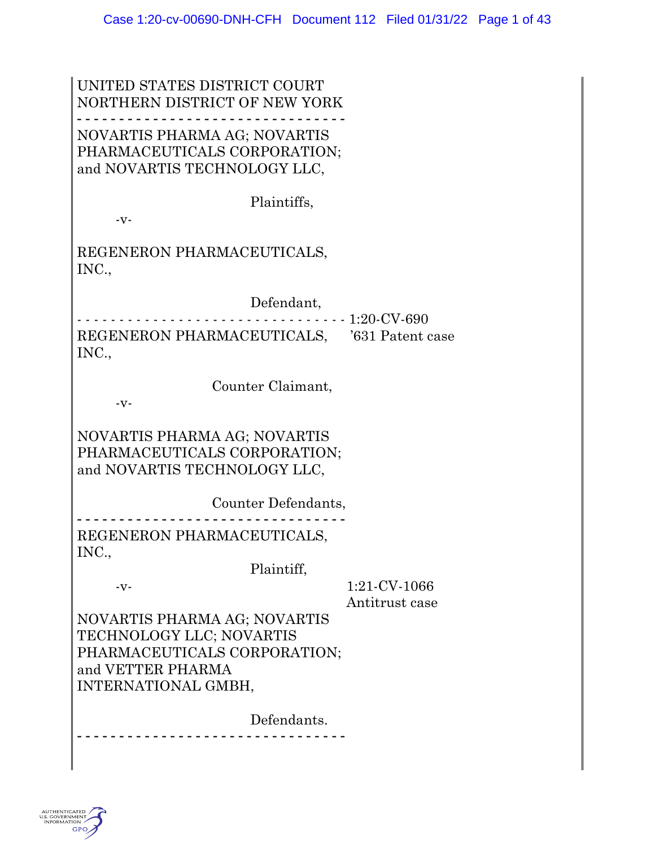#### UNITED STATES DISTRICT COURT NORTHERN DISTRICT OF NEW YORK - - - - - - - - - - - - - - - - - - - - - - - - - - - - - - - - NOVARTIS PHARMA AG; NOVARTIS PHARMACEUTICALS CORPORATION; and NOVARTIS TECHNOLOGY LLC,

Plaintiffs,

 $-V$ -

REGENERON PHARMACEUTICALS, INC.,

Defendant,

- - - - - - - - - - - - - - - - - - - - - - - - - - - - - - - - 1:20-CV-690 REGENERON PHARMACEUTICALS, '631 Patent case INC.,

Counter Claimant,

-v-

NOVARTIS PHARMA AG; NOVARTIS PHARMACEUTICALS CORPORATION; and NOVARTIS TECHNOLOGY LLC,

Counter Defendants,

- - - - - - - - - - - - - - - - - - - - - - - - - - - - - - - - REGENERON PHARMACEUTICALS, INC.,

Plaintiff,

-v- 1:21-CV-1066 Antitrust case

NOVARTIS PHARMA AG; NOVARTIS TECHNOLOGY LLC; NOVARTIS PHARMACEUTICALS CORPORATION; and VETTER PHARMA INTERNATIONAL GMBH,

> Defendants. - - - - - - - - - - - - - - - - - - - - - - - - - - - - - - - -

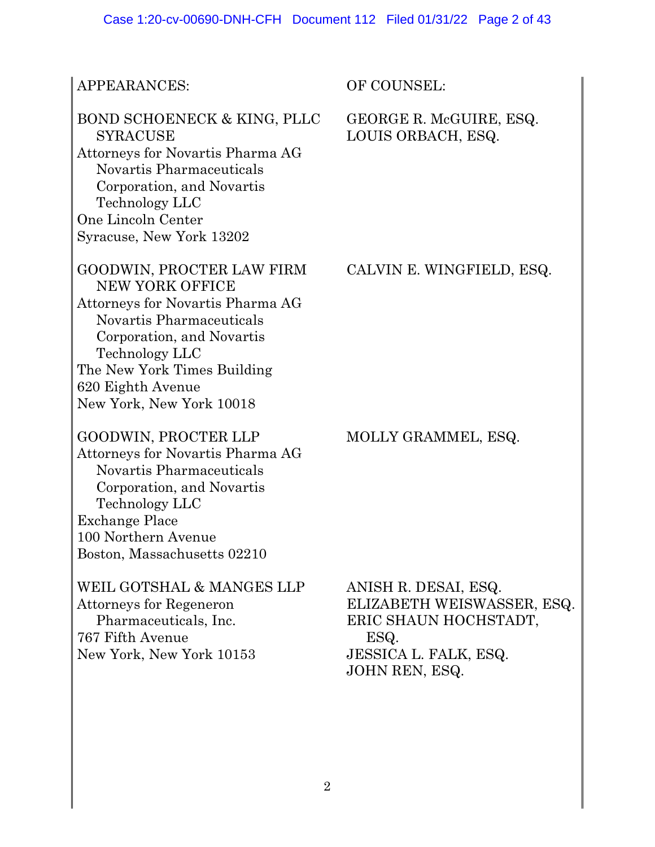| APPEARANCES:                                                                                                                                                                                                                                | OF COUNSEL:                                                                                                                           |
|---------------------------------------------------------------------------------------------------------------------------------------------------------------------------------------------------------------------------------------------|---------------------------------------------------------------------------------------------------------------------------------------|
| BOND SCHOENECK & KING, PLLC<br><b>SYRACUSE</b><br>Attorneys for Novartis Pharma AG<br>Novartis Pharmaceuticals<br>Corporation, and Novartis<br>Technology LLC<br>One Lincoln Center<br>Syracuse, New York 13202                             | GEORGE R. McGUIRE, ESQ.<br>LOUIS ORBACH, ESQ.                                                                                         |
| GOODWIN, PROCTER LAW FIRM<br>NEW YORK OFFICE<br>Attorneys for Novartis Pharma AG<br>Novartis Pharmaceuticals<br>Corporation, and Novartis<br>Technology LLC<br>The New York Times Building<br>620 Eighth Avenue<br>New York, New York 10018 | CALVIN E. WINGFIELD, ESQ.                                                                                                             |
| GOODWIN, PROCTER LLP<br>Attorneys for Novartis Pharma AG<br>Novartis Pharmaceuticals<br>Corporation, and Novartis<br>Technology LLC<br><b>Exchange Place</b><br>100 Northern Avenue<br>Boston, Massachusetts 02210                          | MOLLY GRAMMEL, ESQ.                                                                                                                   |
| WEIL GOTSHAL & MANGES LLP<br>Attorneys for Regeneron<br>Pharmaceuticals, Inc.<br>767 Fifth Avenue<br>New York, New York 10153                                                                                                               | ANISH R. DESAI, ESQ.<br>ELIZABETH WEISWASSER, ESQ.<br>ERIC SHAUN HOCHSTADT,<br>ESQ.<br><b>JESSICA L. FALK, ESQ.</b><br>JOHN REN, ESQ. |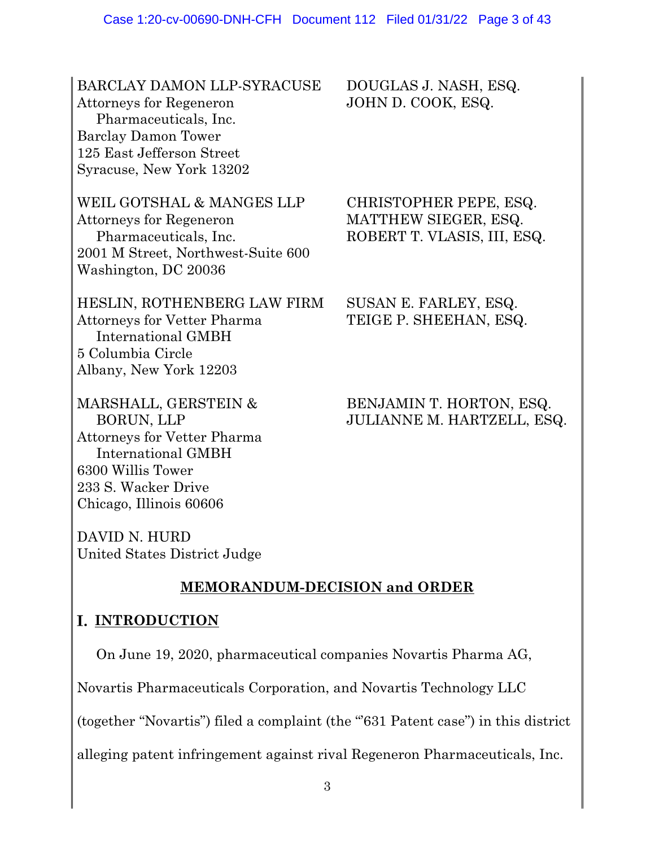BARCLAY DAMON LLP-SYRACUSE DOUGLAS J. NASH, ESQ. Attorneys for Regeneron JOHN D. COOK, ESQ. Pharmaceuticals, Inc. Barclay Damon Tower 125 East Jefferson Street Syracuse, New York 13202

WEIL GOTSHAL & MANGES LLP CHRISTOPHER PEPE, ESQ. Attorneys for Regeneron MATTHEW SIEGER, ESQ. Pharmaceuticals, Inc. ROBERT T. VLASIS, III, ESQ. 2001 M Street, Northwest-Suite 600 Washington, DC 20036

HESLIN, ROTHENBERG LAW FIRM SUSAN E. FARLEY, ESQ. Attorneys for Vetter Pharma TEIGE P. SHEEHAN, ESQ. International GMBH 5 Columbia Circle Albany, New York 12203

Attorneys for Vetter Pharma International GMBH 6300 Willis Tower 233 S. Wacker Drive Chicago, Illinois 60606

DAVID N. HURD United States District Judge

# **MEMORANDUM-DECISION and ORDER**

### **I. INTRODUCTION**

On June 19, 2020, pharmaceutical companies Novartis Pharma AG,

Novartis Pharmaceuticals Corporation, and Novartis Technology LLC

(together "Novartis") filed a complaint (the "'631 Patent case") in this district

alleging patent infringement against rival Regeneron Pharmaceuticals, Inc.

### MARSHALL, GERSTEIN & BENJAMIN T. HORTON, ESQ. BORUN, LLP JULIANNE M. HARTZELL, ESQ.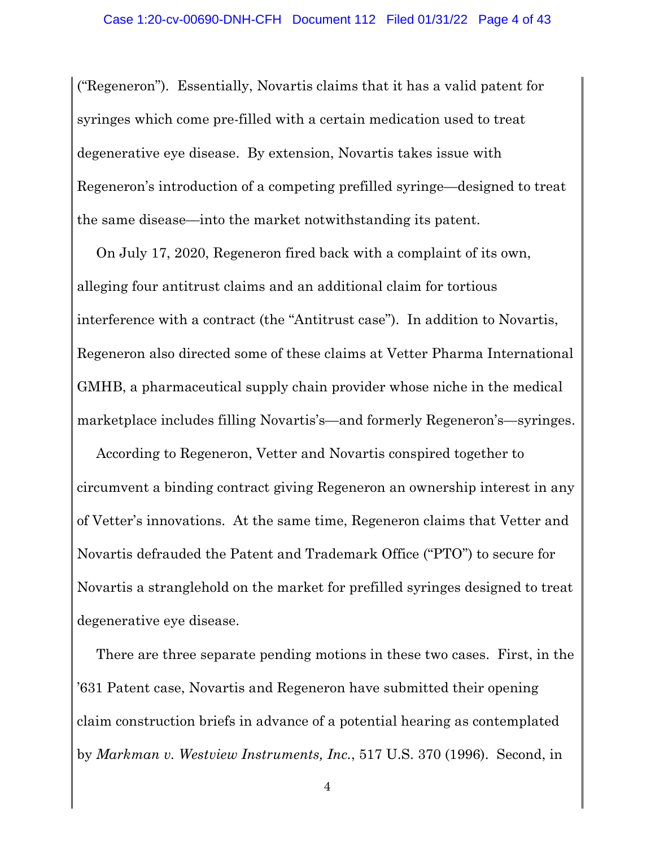("Regeneron"). Essentially, Novartis claims that it has a valid patent for syringes which come pre-filled with a certain medication used to treat degenerative eye disease. By extension, Novartis takes issue with Regeneron's introduction of a competing prefilled syringe—designed to treat the same disease—into the market notwithstanding its patent.

On July 17, 2020, Regeneron fired back with a complaint of its own, alleging four antitrust claims and an additional claim for tortious interference with a contract (the "Antitrust case"). In addition to Novartis, Regeneron also directed some of these claims at Vetter Pharma International GMHB, a pharmaceutical supply chain provider whose niche in the medical marketplace includes filling Novartis's—and formerly Regeneron's—syringes.

According to Regeneron, Vetter and Novartis conspired together to circumvent a binding contract giving Regeneron an ownership interest in any of Vetter's innovations. At the same time, Regeneron claims that Vetter and Novartis defrauded the Patent and Trademark Office ("PTO") to secure for Novartis a stranglehold on the market for prefilled syringes designed to treat degenerative eye disease.

There are three separate pending motions in these two cases. First, in the '631 Patent case, Novartis and Regeneron have submitted their opening claim construction briefs in advance of a potential hearing as contemplated by *Markman v. Westview Instruments, Inc.*, 517 U.S. 370 (1996). Second, in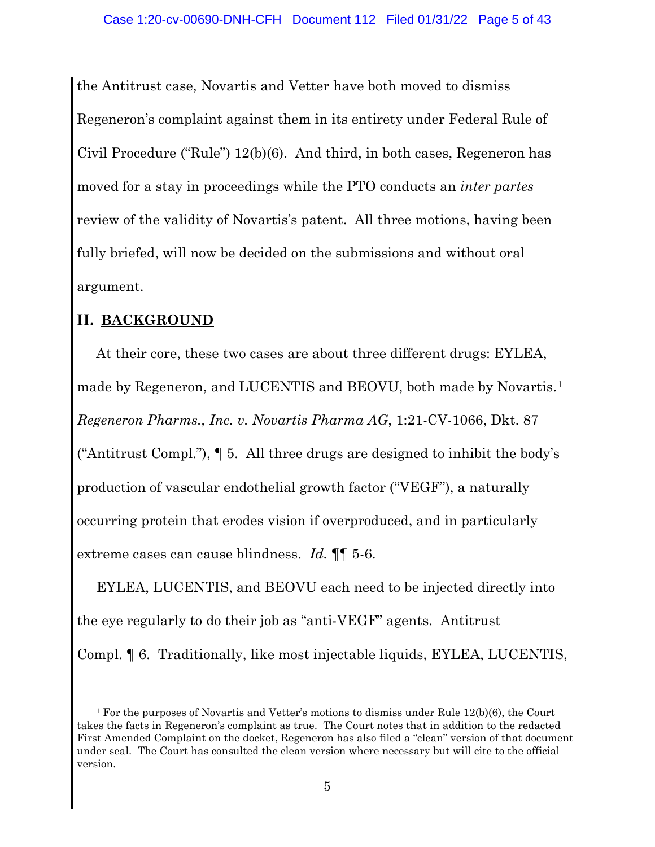the Antitrust case, Novartis and Vetter have both moved to dismiss Regeneron's complaint against them in its entirety under Federal Rule of Civil Procedure ("Rule") 12(b)(6). And third, in both cases, Regeneron has moved for a stay in proceedings while the PTO conducts an *inter partes*  review of the validity of Novartis's patent. All three motions, having been fully briefed, will now be decided on the submissions and without oral argument.

## **II. BACKGROUND**

At their core, these two cases are about three different drugs: EYLEA, made by Regeneron, and LUCENTIS and BEOVU, both made by Novartis.<sup>1</sup> *Regeneron Pharms., Inc. v. Novartis Pharma AG*, 1:21-CV-1066, Dkt. 87 ("Antitrust Compl."), ¶ 5. All three drugs are designed to inhibit the body's production of vascular endothelial growth factor ("VEGF"), a naturally occurring protein that erodes vision if overproduced, and in particularly extreme cases can cause blindness. *Id.* ¶¶ 5-6.

EYLEA, LUCENTIS, and BEOVU each need to be injected directly into the eye regularly to do their job as "anti-VEGF" agents. Antitrust Compl. ¶ 6. Traditionally, like most injectable liquids, EYLEA, LUCENTIS,

<sup>&</sup>lt;sup>1</sup> For the purposes of Novartis and Vetter's motions to dismiss under Rule  $12(b)(6)$ , the Court takes the facts in Regeneron's complaint as true. The Court notes that in addition to the redacted First Amended Complaint on the docket, Regeneron has also filed a "clean" version of that document under seal. The Court has consulted the clean version where necessary but will cite to the official version.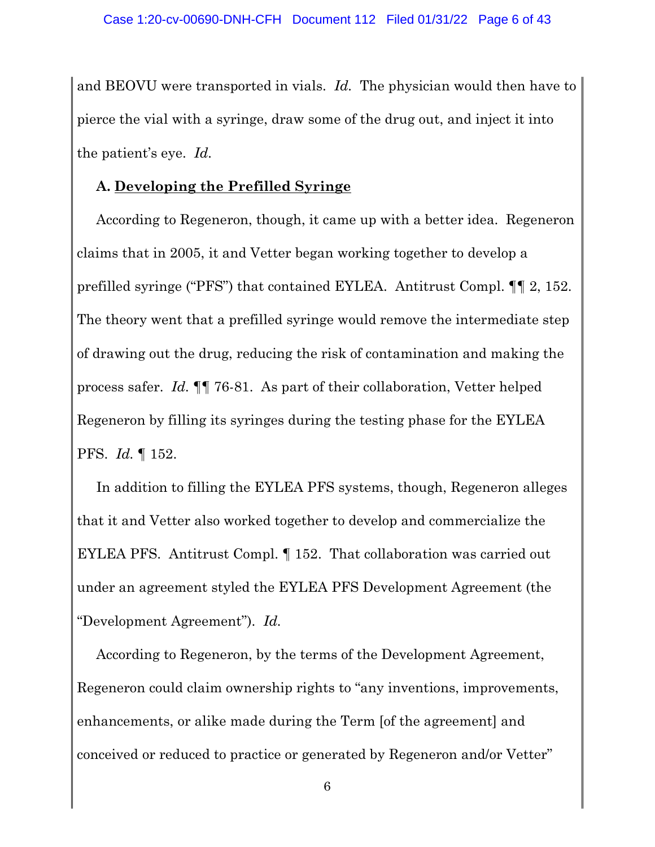and BEOVU were transported in vials. *Id.* The physician would then have to pierce the vial with a syringe, draw some of the drug out, and inject it into the patient's eye. *Id.*

#### **A. Developing the Prefilled Syringe**

According to Regeneron, though, it came up with a better idea. Regeneron claims that in 2005, it and Vetter began working together to develop a prefilled syringe ("PFS") that contained EYLEA. Antitrust Compl. ¶¶ 2, 152. The theory went that a prefilled syringe would remove the intermediate step of drawing out the drug, reducing the risk of contamination and making the process safer. *Id.* ¶¶ 76-81. As part of their collaboration, Vetter helped Regeneron by filling its syringes during the testing phase for the EYLEA PFS. *Id.* ¶ 152.

In addition to filling the EYLEA PFS systems, though, Regeneron alleges that it and Vetter also worked together to develop and commercialize the EYLEA PFS. Antitrust Compl. ¶ 152. That collaboration was carried out under an agreement styled the EYLEA PFS Development Agreement (the "Development Agreement"). *Id.*

According to Regeneron, by the terms of the Development Agreement, Regeneron could claim ownership rights to "any inventions, improvements, enhancements, or alike made during the Term [of the agreement] and conceived or reduced to practice or generated by Regeneron and/or Vetter"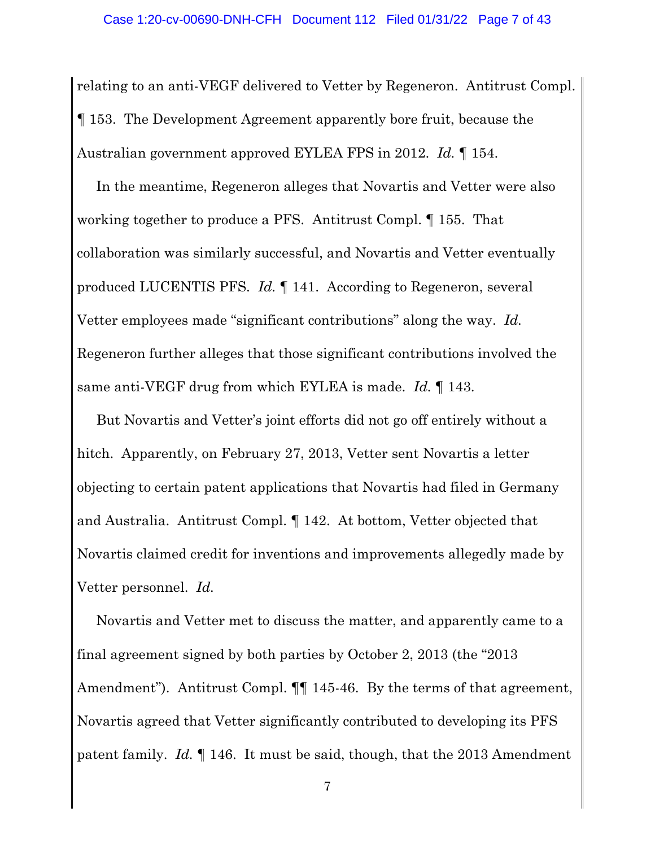relating to an anti-VEGF delivered to Vetter by Regeneron. Antitrust Compl. ¶ 153. The Development Agreement apparently bore fruit, because the Australian government approved EYLEA FPS in 2012. *Id.* ¶ 154.

In the meantime, Regeneron alleges that Novartis and Vetter were also working together to produce a PFS. Antitrust Compl. ¶ 155. That collaboration was similarly successful, and Novartis and Vetter eventually produced LUCENTIS PFS. *Id.* ¶ 141. According to Regeneron, several Vetter employees made "significant contributions" along the way. *Id.* Regeneron further alleges that those significant contributions involved the same anti-VEGF drug from which EYLEA is made. *Id.* ¶ 143.

But Novartis and Vetter's joint efforts did not go off entirely without a hitch. Apparently, on February 27, 2013, Vetter sent Novartis a letter objecting to certain patent applications that Novartis had filed in Germany and Australia. Antitrust Compl. ¶ 142. At bottom, Vetter objected that Novartis claimed credit for inventions and improvements allegedly made by Vetter personnel. *Id.*

Novartis and Vetter met to discuss the matter, and apparently came to a final agreement signed by both parties by October 2, 2013 (the "2013 Amendment"). Antitrust Compl.  $\P\P$  145-46. By the terms of that agreement, Novartis agreed that Vetter significantly contributed to developing its PFS patent family. *Id.* ¶ 146. It must be said, though, that the 2013 Amendment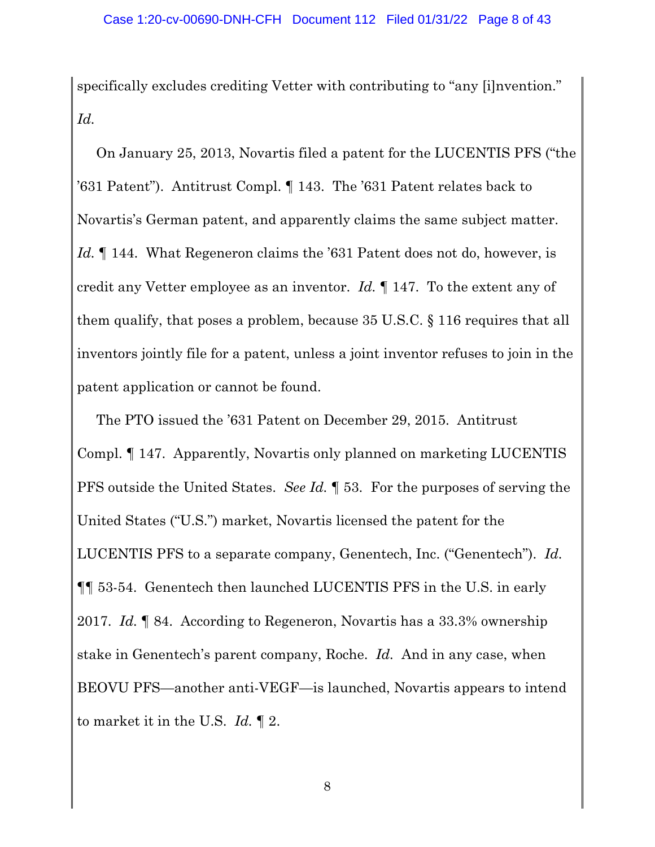specifically excludes crediting Vetter with contributing to "any [i]nvention." *Id.*

On January 25, 2013, Novartis filed a patent for the LUCENTIS PFS ("the '631 Patent"). Antitrust Compl. ¶ 143. The '631 Patent relates back to Novartis's German patent, and apparently claims the same subject matter. *Id.* 144. What Regeneron claims the '631 Patent does not do, however, is credit any Vetter employee as an inventor. *Id.* ¶ 147. To the extent any of them qualify, that poses a problem, because 35 U.S.C. § 116 requires that all inventors jointly file for a patent, unless a joint inventor refuses to join in the patent application or cannot be found.

The PTO issued the '631 Patent on December 29, 2015. Antitrust Compl. ¶ 147. Apparently, Novartis only planned on marketing LUCENTIS PFS outside the United States. *See Id.* ¶ 53. For the purposes of serving the United States ("U.S.") market, Novartis licensed the patent for the LUCENTIS PFS to a separate company, Genentech, Inc. ("Genentech"). *Id.* ¶¶ 53-54. Genentech then launched LUCENTIS PFS in the U.S. in early 2017. *Id.* ¶ 84. According to Regeneron, Novartis has a 33.3% ownership stake in Genentech's parent company, Roche. *Id.* And in any case, when BEOVU PFS—another anti-VEGF—is launched, Novartis appears to intend to market it in the U.S. *Id.* ¶ 2.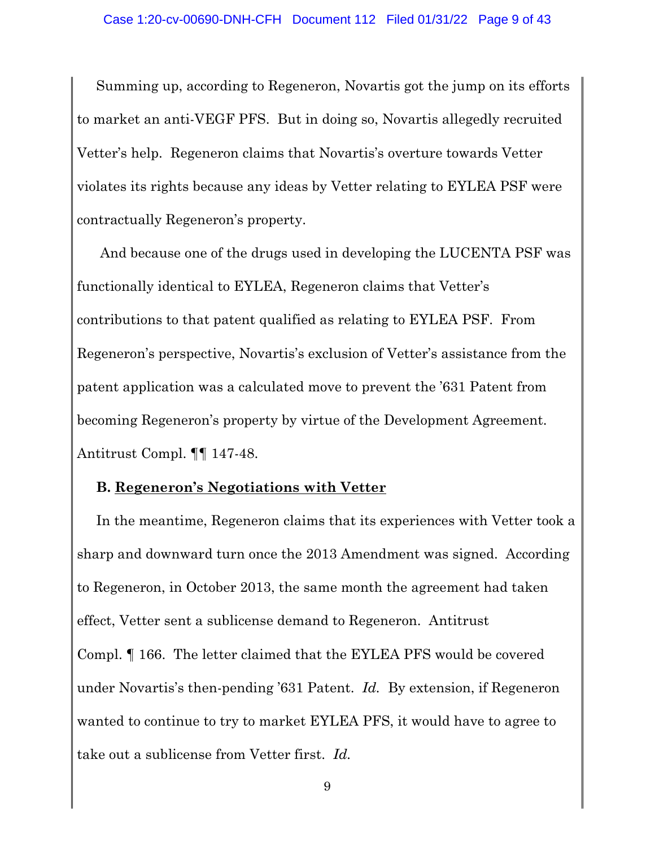Summing up, according to Regeneron, Novartis got the jump on its efforts to market an anti-VEGF PFS. But in doing so, Novartis allegedly recruited Vetter's help. Regeneron claims that Novartis's overture towards Vetter violates its rights because any ideas by Vetter relating to EYLEA PSF were contractually Regeneron's property.

And because one of the drugs used in developing the LUCENTA PSF was functionally identical to EYLEA, Regeneron claims that Vetter's contributions to that patent qualified as relating to EYLEA PSF. From Regeneron's perspective, Novartis's exclusion of Vetter's assistance from the patent application was a calculated move to prevent the '631 Patent from becoming Regeneron's property by virtue of the Development Agreement. Antitrust Compl. ¶¶ 147-48.

#### **B. Regeneron's Negotiations with Vetter**

In the meantime, Regeneron claims that its experiences with Vetter took a sharp and downward turn once the 2013 Amendment was signed. According to Regeneron, in October 2013, the same month the agreement had taken effect, Vetter sent a sublicense demand to Regeneron. Antitrust Compl. ¶ 166. The letter claimed that the EYLEA PFS would be covered under Novartis's then-pending '631 Patent. *Id.* By extension, if Regeneron wanted to continue to try to market EYLEA PFS, it would have to agree to take out a sublicense from Vetter first. *Id.*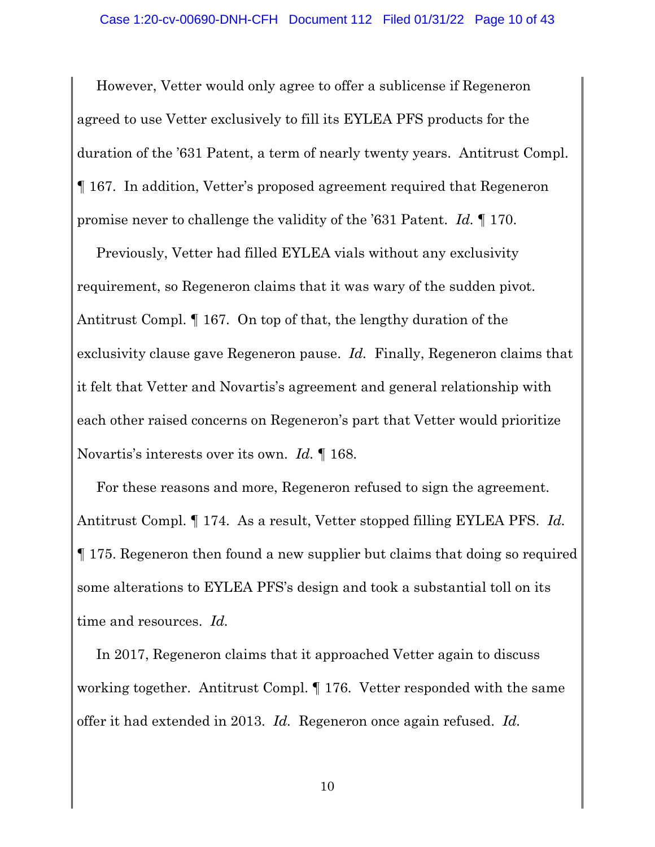However, Vetter would only agree to offer a sublicense if Regeneron agreed to use Vetter exclusively to fill its EYLEA PFS products for the duration of the '631 Patent, a term of nearly twenty years. Antitrust Compl. ¶ 167. In addition, Vetter's proposed agreement required that Regeneron promise never to challenge the validity of the '631 Patent. *Id.* ¶ 170.

Previously, Vetter had filled EYLEA vials without any exclusivity requirement, so Regeneron claims that it was wary of the sudden pivot. Antitrust Compl. ¶ 167. On top of that, the lengthy duration of the exclusivity clause gave Regeneron pause. *Id.* Finally, Regeneron claims that it felt that Vetter and Novartis's agreement and general relationship with each other raised concerns on Regeneron's part that Vetter would prioritize Novartis's interests over its own. *Id.* ¶ 168.

For these reasons and more, Regeneron refused to sign the agreement. Antitrust Compl. ¶ 174. As a result, Vetter stopped filling EYLEA PFS. *Id.* ¶ 175. Regeneron then found a new supplier but claims that doing so required some alterations to EYLEA PFS's design and took a substantial toll on its time and resources. *Id.*

In 2017, Regeneron claims that it approached Vetter again to discuss working together. Antitrust Compl. ¶ 176. Vetter responded with the same offer it had extended in 2013. *Id.* Regeneron once again refused. *Id.*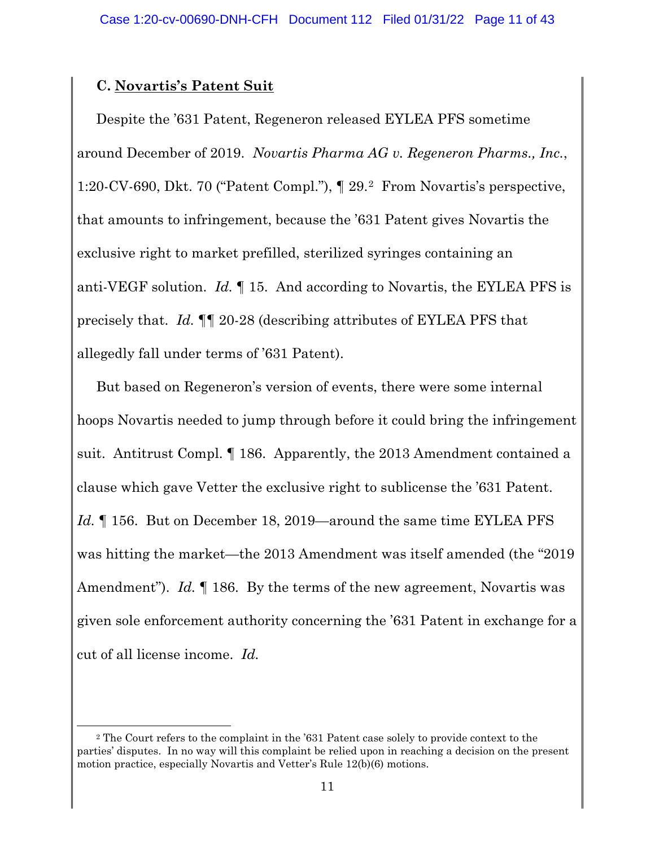### **C. Novartis's Patent Suit**

Despite the '631 Patent, Regeneron released EYLEA PFS sometime around December of 2019. *Novartis Pharma AG v. Regeneron Pharms., Inc.*, 1:20-CV-690, Dkt. 70 ("Patent Compl."), ¶ 29.2 From Novartis's perspective, that amounts to infringement, because the '631 Patent gives Novartis the exclusive right to market prefilled, sterilized syringes containing an anti-VEGF solution. *Id.* ¶ 15. And according to Novartis, the EYLEA PFS is precisely that. *Id.* ¶¶ 20-28 (describing attributes of EYLEA PFS that allegedly fall under terms of '631 Patent).

But based on Regeneron's version of events, there were some internal hoops Novartis needed to jump through before it could bring the infringement suit. Antitrust Compl. ¶ 186. Apparently, the 2013 Amendment contained a clause which gave Vetter the exclusive right to sublicense the '631 Patent. *Id.* 156. But on December 18, 2019—around the same time EYLEA PFS was hitting the market—the 2013 Amendment was itself amended (the "2019 Amendment"). *Id.* ¶ 186. By the terms of the new agreement, Novartis was given sole enforcement authority concerning the '631 Patent in exchange for a cut of all license income. *Id.*

<sup>2</sup> The Court refers to the complaint in the '631 Patent case solely to provide context to the parties' disputes. In no way will this complaint be relied upon in reaching a decision on the present motion practice, especially Novartis and Vetter's Rule 12(b)(6) motions.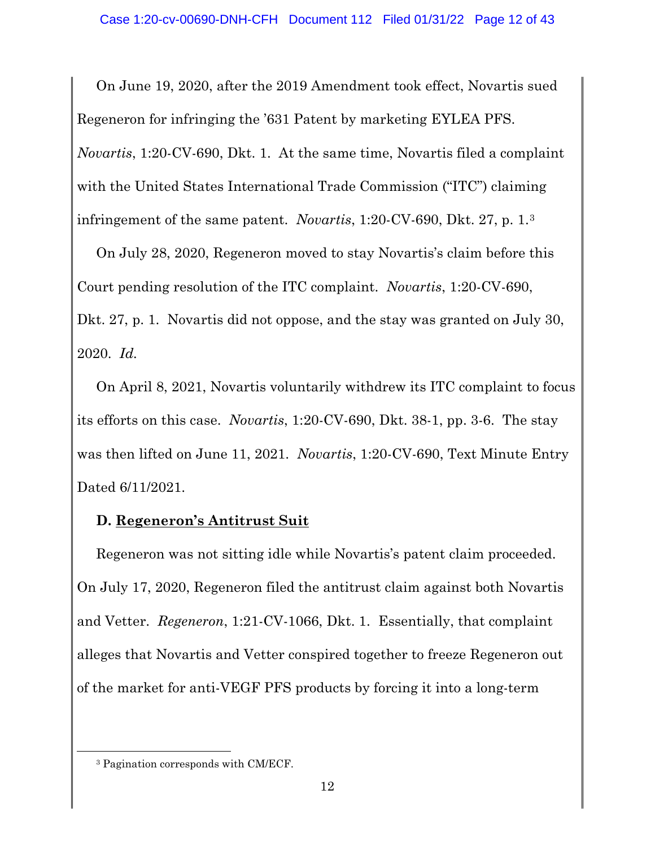On June 19, 2020, after the 2019 Amendment took effect, Novartis sued Regeneron for infringing the '631 Patent by marketing EYLEA PFS. *Novartis*, 1:20-CV-690, Dkt. 1. At the same time, Novartis filed a complaint with the United States International Trade Commission ("ITC") claiming infringement of the same patent. *Novartis*, 1:20-CV-690, Dkt. 27, p. 1.3

On July 28, 2020, Regeneron moved to stay Novartis's claim before this Court pending resolution of the ITC complaint. *Novartis*, 1:20-CV-690, Dkt. 27, p. 1. Novartis did not oppose, and the stay was granted on July 30, 2020. *Id.*

On April 8, 2021, Novartis voluntarily withdrew its ITC complaint to focus its efforts on this case. *Novartis*, 1:20-CV-690, Dkt. 38-1, pp. 3-6. The stay was then lifted on June 11, 2021. *Novartis*, 1:20-CV-690, Text Minute Entry Dated 6/11/2021.

### **D. Regeneron's Antitrust Suit**

Regeneron was not sitting idle while Novartis's patent claim proceeded. On July 17, 2020, Regeneron filed the antitrust claim against both Novartis and Vetter. *Regeneron*, 1:21-CV-1066, Dkt. 1. Essentially, that complaint alleges that Novartis and Vetter conspired together to freeze Regeneron out of the market for anti-VEGF PFS products by forcing it into a long-term

<sup>3</sup> Pagination corresponds with CM/ECF.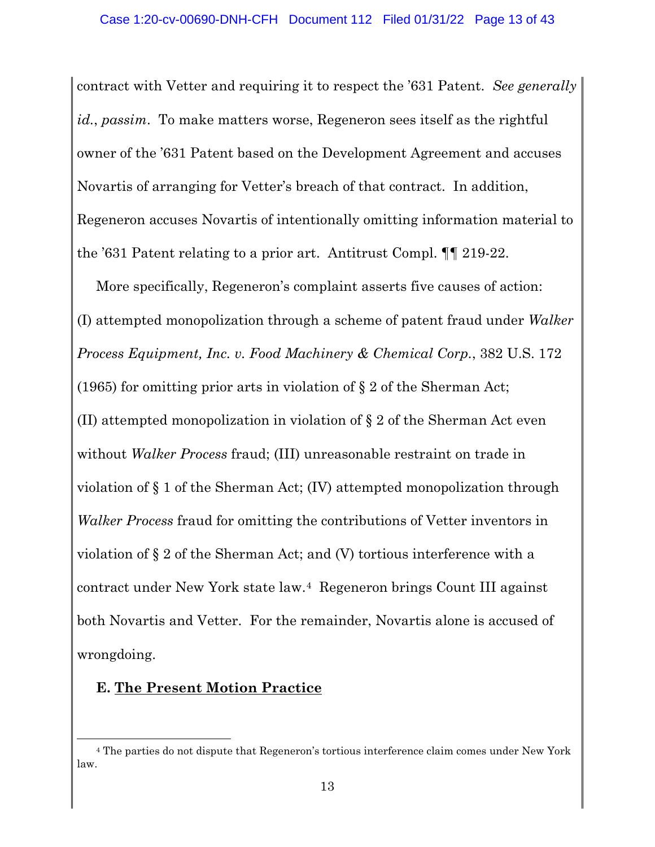contract with Vetter and requiring it to respect the '631 Patent. *See generally id.*, *passim*. To make matters worse, Regeneron sees itself as the rightful owner of the '631 Patent based on the Development Agreement and accuses Novartis of arranging for Vetter's breach of that contract. In addition, Regeneron accuses Novartis of intentionally omitting information material to the '631 Patent relating to a prior art. Antitrust Compl. ¶¶ 219-22.

More specifically, Regeneron's complaint asserts five causes of action: (I) attempted monopolization through a scheme of patent fraud under *Walker Process Equipment, Inc. v. Food Machinery & Chemical Corp.*, 382 U.S. 172 (1965) for omitting prior arts in violation of § 2 of the Sherman Act; (II) attempted monopolization in violation of § 2 of the Sherman Act even without *Walker Process* fraud; (III) unreasonable restraint on trade in violation of § 1 of the Sherman Act; (IV) attempted monopolization through *Walker Process* fraud for omitting the contributions of Vetter inventors in violation of § 2 of the Sherman Act; and (V) tortious interference with a contract under New York state law.4 Regeneron brings Count III against both Novartis and Vetter. For the remainder, Novartis alone is accused of wrongdoing.

#### **E. The Present Motion Practice**

<sup>4</sup> The parties do not dispute that Regeneron's tortious interference claim comes under New York law.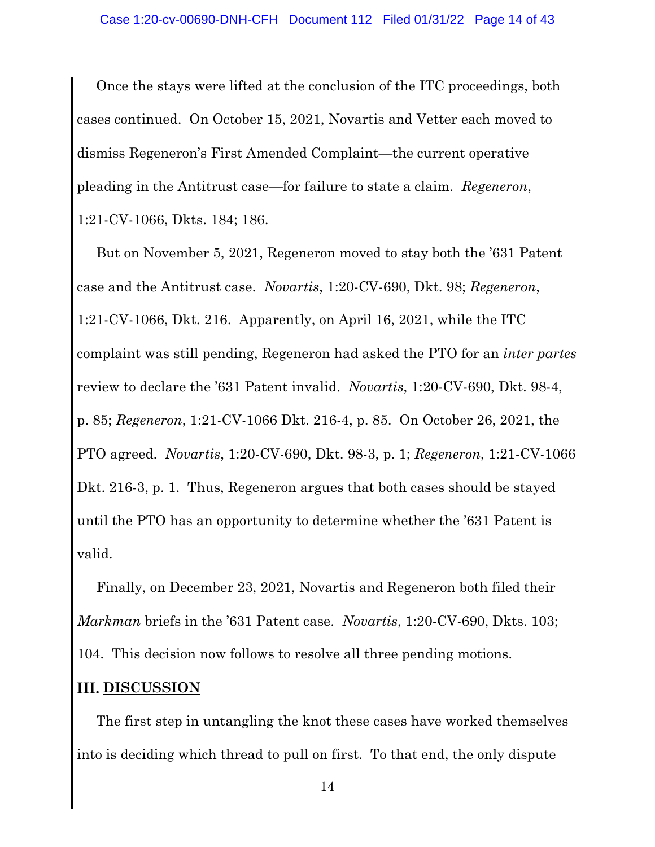Once the stays were lifted at the conclusion of the ITC proceedings, both cases continued. On October 15, 2021, Novartis and Vetter each moved to dismiss Regeneron's First Amended Complaint—the current operative pleading in the Antitrust case—for failure to state a claim. *Regeneron*, 1:21-CV-1066, Dkts. 184; 186.

But on November 5, 2021, Regeneron moved to stay both the '631 Patent case and the Antitrust case. *Novartis*, 1:20-CV-690, Dkt. 98; *Regeneron*, 1:21-CV-1066, Dkt. 216. Apparently, on April 16, 2021, while the ITC complaint was still pending, Regeneron had asked the PTO for an *inter partes*  review to declare the '631 Patent invalid. *Novartis*, 1:20-CV-690, Dkt. 98-4, p. 85; *Regeneron*, 1:21-CV-1066 Dkt. 216-4, p. 85. On October 26, 2021, the PTO agreed. *Novartis*, 1:20-CV-690, Dkt. 98-3, p. 1; *Regeneron*, 1:21-CV-1066 Dkt. 216-3, p. 1. Thus, Regeneron argues that both cases should be stayed until the PTO has an opportunity to determine whether the '631 Patent is valid.

Finally, on December 23, 2021, Novartis and Regeneron both filed their *Markman* briefs in the '631 Patent case. *Novartis*, 1:20-CV-690, Dkts. 103; 104. This decision now follows to resolve all three pending motions.

#### **III. DISCUSSION**

The first step in untangling the knot these cases have worked themselves into is deciding which thread to pull on first. To that end, the only dispute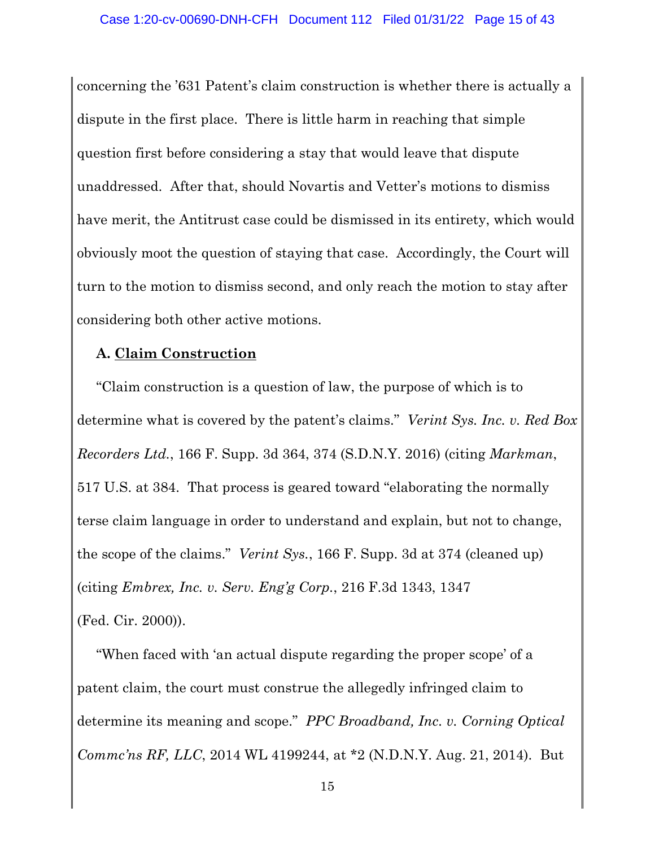concerning the '631 Patent's claim construction is whether there is actually a dispute in the first place. There is little harm in reaching that simple question first before considering a stay that would leave that dispute unaddressed. After that, should Novartis and Vetter's motions to dismiss have merit, the Antitrust case could be dismissed in its entirety, which would obviously moot the question of staying that case. Accordingly, the Court will turn to the motion to dismiss second, and only reach the motion to stay after considering both other active motions.

### **A. Claim Construction**

"Claim construction is a question of law, the purpose of which is to determine what is covered by the patent's claims." *Verint Sys. Inc. v. Red Box Recorders Ltd.*, 166 F. Supp. 3d 364, 374 (S.D.N.Y. 2016) (citing *Markman*, 517 U.S. at 384. That process is geared toward "elaborating the normally terse claim language in order to understand and explain, but not to change, the scope of the claims." *Verint Sys.*, 166 F. Supp. 3d at 374 (cleaned up) (citing *Embrex, Inc. v. Serv. Eng'g Corp.*, 216 F.3d 1343, 1347 (Fed. Cir. 2000)).

"When faced with 'an actual dispute regarding the proper scope' of a patent claim, the court must construe the allegedly infringed claim to determine its meaning and scope." *PPC Broadband, Inc. v. Corning Optical Commc'ns RF, LLC*, 2014 WL 4199244, at \*2 (N.D.N.Y. Aug. 21, 2014). But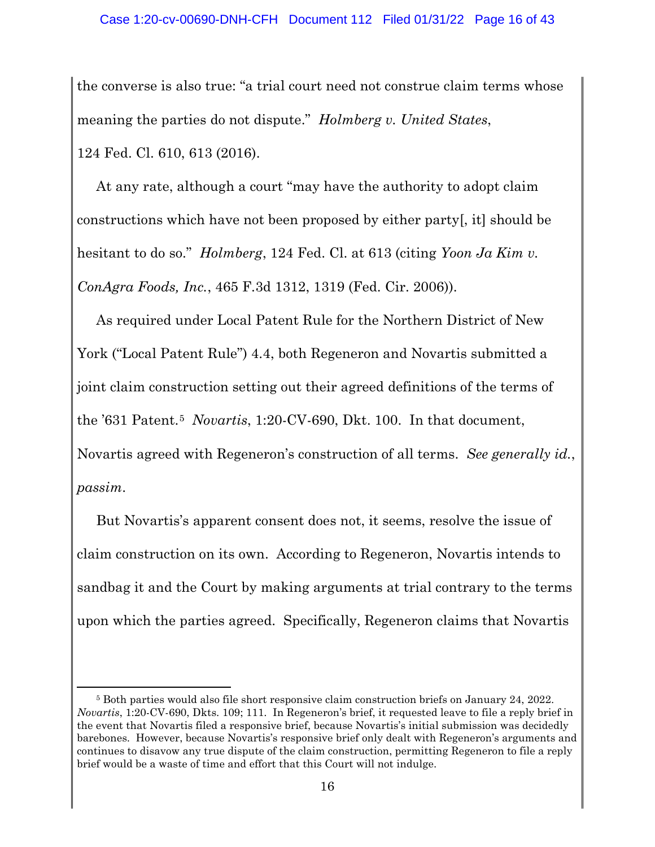the converse is also true: "a trial court need not construe claim terms whose meaning the parties do not dispute." *Holmberg v. United States*, 124 Fed. Cl. 610, 613 (2016).

At any rate, although a court "may have the authority to adopt claim constructions which have not been proposed by either party[, it] should be hesitant to do so." *Holmberg*, 124 Fed. Cl. at 613 (citing *Yoon Ja Kim v. ConAgra Foods, Inc.*, 465 F.3d 1312, 1319 (Fed. Cir. 2006)).

As required under Local Patent Rule for the Northern District of New York ("Local Patent Rule") 4.4, both Regeneron and Novartis submitted a joint claim construction setting out their agreed definitions of the terms of the '631 Patent.5 *Novartis*, 1:20-CV-690, Dkt. 100. In that document, Novartis agreed with Regeneron's construction of all terms. *See generally id.*, *passim*.

But Novartis's apparent consent does not, it seems, resolve the issue of claim construction on its own. According to Regeneron, Novartis intends to sandbag it and the Court by making arguments at trial contrary to the terms upon which the parties agreed. Specifically, Regeneron claims that Novartis

<sup>5</sup> Both parties would also file short responsive claim construction briefs on January 24, 2022. *Novartis*, 1:20-CV-690, Dkts. 109; 111. In Regeneron's brief, it requested leave to file a reply brief in the event that Novartis filed a responsive brief, because Novartis's initial submission was decidedly barebones. However, because Novartis's responsive brief only dealt with Regeneron's arguments and continues to disavow any true dispute of the claim construction, permitting Regeneron to file a reply brief would be a waste of time and effort that this Court will not indulge.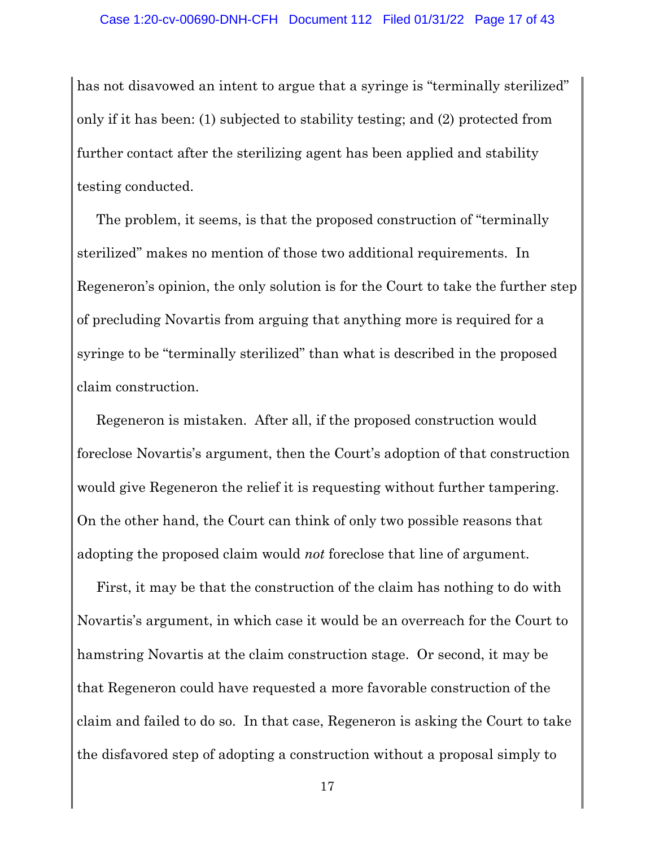has not disavowed an intent to argue that a syringe is "terminally sterilized" only if it has been: (1) subjected to stability testing; and (2) protected from further contact after the sterilizing agent has been applied and stability testing conducted.

The problem, it seems, is that the proposed construction of "terminally sterilized" makes no mention of those two additional requirements. In Regeneron's opinion, the only solution is for the Court to take the further step of precluding Novartis from arguing that anything more is required for a syringe to be "terminally sterilized" than what is described in the proposed claim construction.

Regeneron is mistaken. After all, if the proposed construction would foreclose Novartis's argument, then the Court's adoption of that construction would give Regeneron the relief it is requesting without further tampering. On the other hand, the Court can think of only two possible reasons that adopting the proposed claim would *not* foreclose that line of argument.

First, it may be that the construction of the claim has nothing to do with Novartis's argument, in which case it would be an overreach for the Court to hamstring Novartis at the claim construction stage. Or second, it may be that Regeneron could have requested a more favorable construction of the claim and failed to do so. In that case, Regeneron is asking the Court to take the disfavored step of adopting a construction without a proposal simply to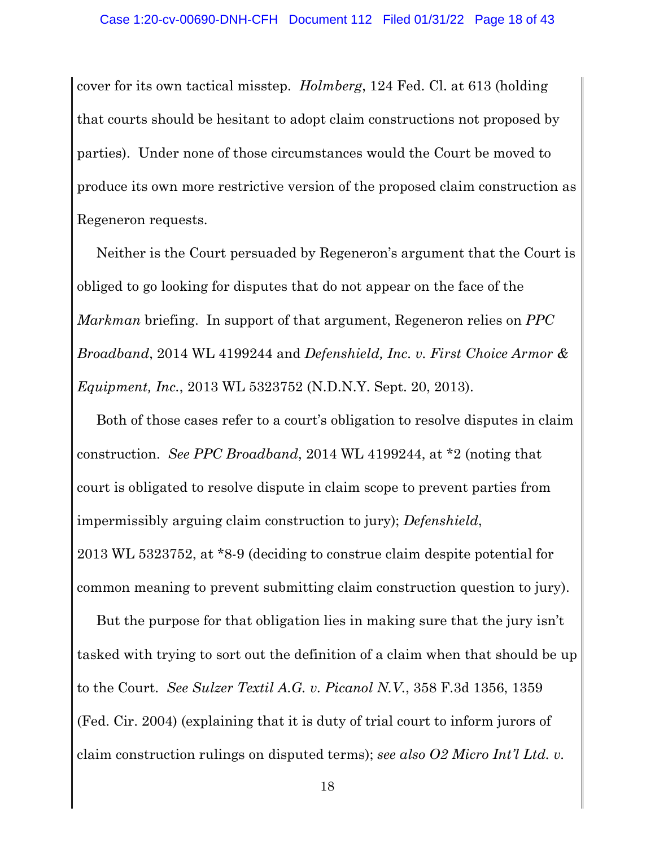cover for its own tactical misstep. *Holmberg*, 124 Fed. Cl. at 613 (holding that courts should be hesitant to adopt claim constructions not proposed by parties). Under none of those circumstances would the Court be moved to produce its own more restrictive version of the proposed claim construction as Regeneron requests.

Neither is the Court persuaded by Regeneron's argument that the Court is obliged to go looking for disputes that do not appear on the face of the *Markman* briefing. In support of that argument, Regeneron relies on *PPC Broadband*, 2014 WL 4199244 and *Defenshield, Inc. v. First Choice Armor & Equipment, Inc.*, 2013 WL 5323752 (N.D.N.Y. Sept. 20, 2013).

Both of those cases refer to a court's obligation to resolve disputes in claim construction. *See PPC Broadband*, 2014 WL 4199244, at \*2 (noting that court is obligated to resolve dispute in claim scope to prevent parties from impermissibly arguing claim construction to jury); *Defenshield*, 2013 WL 5323752, at \*8-9 (deciding to construe claim despite potential for

common meaning to prevent submitting claim construction question to jury).

But the purpose for that obligation lies in making sure that the jury isn't tasked with trying to sort out the definition of a claim when that should be up to the Court. *See Sulzer Textil A.G. v. Picanol N.V.*, 358 F.3d 1356, 1359 (Fed. Cir. 2004) (explaining that it is duty of trial court to inform jurors of claim construction rulings on disputed terms); *see also O2 Micro Int'l Ltd. v.*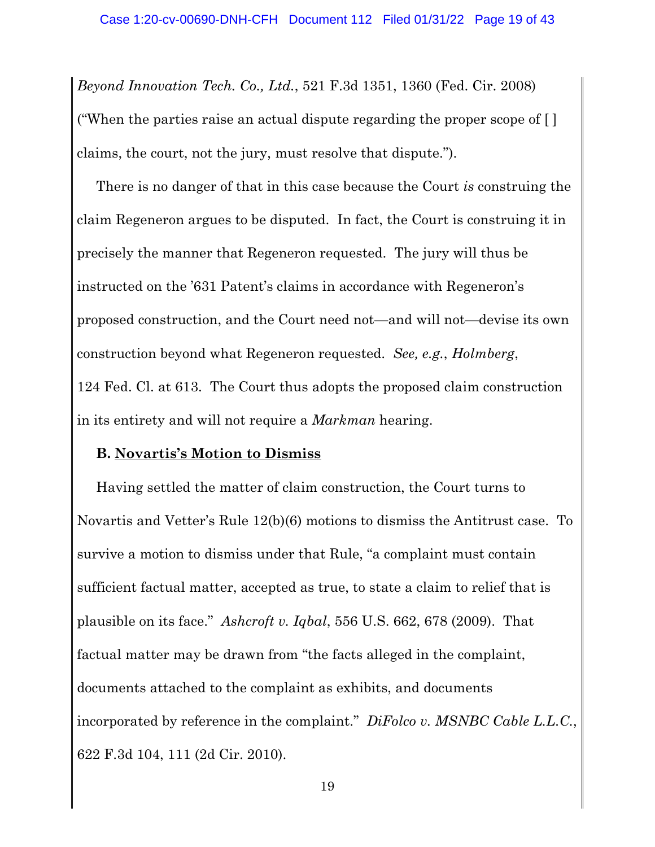*Beyond Innovation Tech. Co., Ltd.*, 521 F.3d 1351, 1360 (Fed. Cir. 2008) ("When the parties raise an actual dispute regarding the proper scope of [ ] claims, the court, not the jury, must resolve that dispute.").

There is no danger of that in this case because the Court *is* construing the claim Regeneron argues to be disputed. In fact, the Court is construing it in precisely the manner that Regeneron requested. The jury will thus be instructed on the '631 Patent's claims in accordance with Regeneron's proposed construction, and the Court need not—and will not—devise its own construction beyond what Regeneron requested. *See, e.g.*, *Holmberg*, 124 Fed. Cl. at 613. The Court thus adopts the proposed claim construction in its entirety and will not require a *Markman* hearing.

#### **B. Novartis's Motion to Dismiss**

Having settled the matter of claim construction, the Court turns to Novartis and Vetter's Rule 12(b)(6) motions to dismiss the Antitrust case. To survive a motion to dismiss under that Rule, "a complaint must contain sufficient factual matter, accepted as true, to state a claim to relief that is plausible on its face." *Ashcroft v. Iqbal*, 556 U.S. 662, 678 (2009). That factual matter may be drawn from "the facts alleged in the complaint, documents attached to the complaint as exhibits, and documents incorporated by reference in the complaint." *DiFolco v. MSNBC Cable L.L.C.*, 622 F.3d 104, 111 (2d Cir. 2010).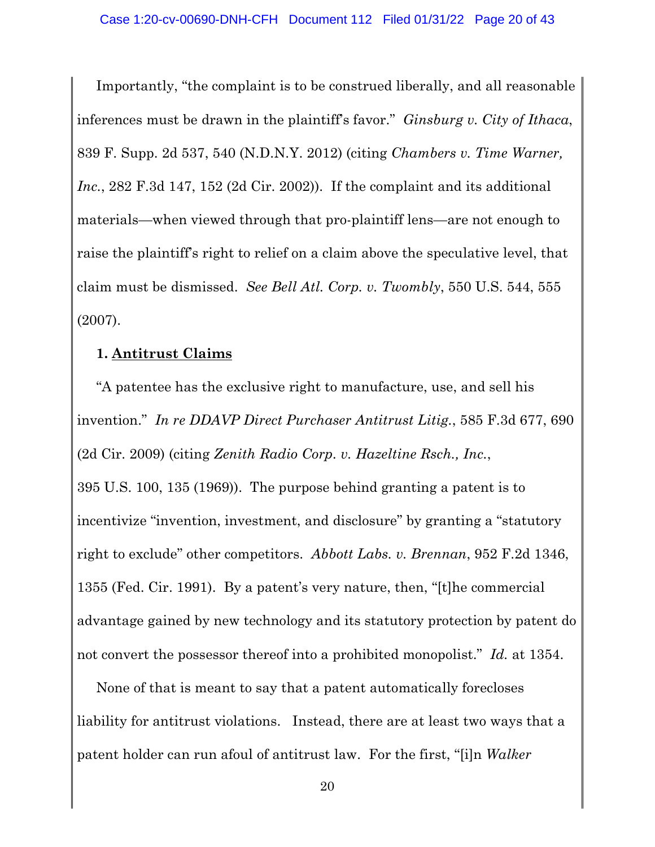Importantly, "the complaint is to be construed liberally, and all reasonable inferences must be drawn in the plaintiff's favor." *Ginsburg v. City of Ithaca*, 839 F. Supp. 2d 537, 540 (N.D.N.Y. 2012) (citing *Chambers v. Time Warner, Inc.*, 282 F.3d 147, 152 (2d Cir. 2002)). If the complaint and its additional materials—when viewed through that pro-plaintiff lens—are not enough to raise the plaintiff's right to relief on a claim above the speculative level, that claim must be dismissed. *See Bell Atl. Corp. v. Twombly*, 550 U.S. 544, 555 (2007).

### **1. Antitrust Claims**

"A patentee has the exclusive right to manufacture, use, and sell his invention." *In re DDAVP Direct Purchaser Antitrust Litig.*, 585 F.3d 677, 690 (2d Cir. 2009) (citing *Zenith Radio Corp. v. Hazeltine Rsch., Inc.*, 395 U.S. 100, 135 (1969)). The purpose behind granting a patent is to incentivize "invention, investment, and disclosure" by granting a "statutory right to exclude" other competitors. *Abbott Labs. v. Brennan*, 952 F.2d 1346, 1355 (Fed. Cir. 1991). By a patent's very nature, then, "[t]he commercial advantage gained by new technology and its statutory protection by patent do not convert the possessor thereof into a prohibited monopolist." *Id.* at 1354.

None of that is meant to say that a patent automatically forecloses liability for antitrust violations. Instead, there are at least two ways that a patent holder can run afoul of antitrust law. For the first, "[i]n *Walker*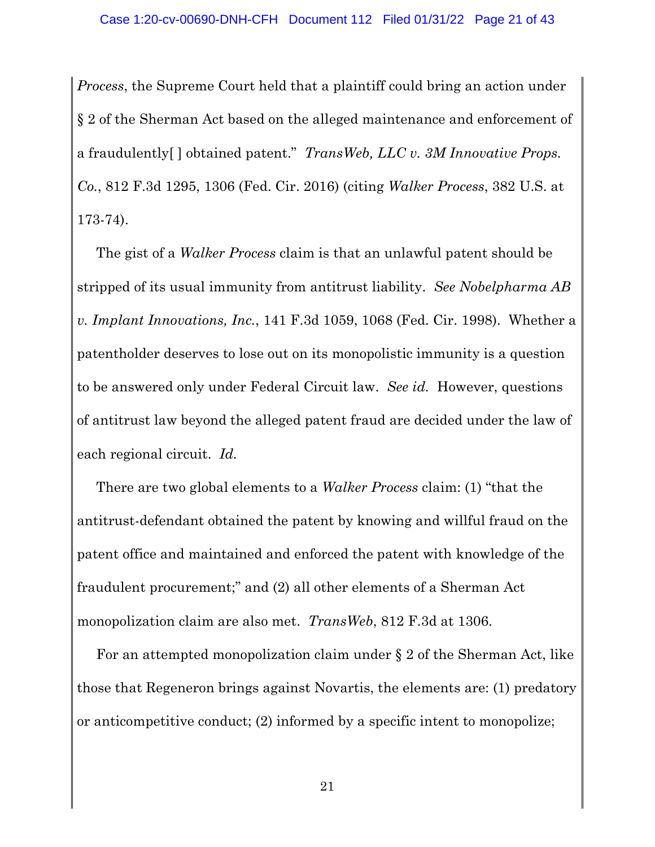*Process*, the Supreme Court held that a plaintiff could bring an action under § 2 of the Sherman Act based on the alleged maintenance and enforcement of a fraudulently[ ] obtained patent." *TransWeb, LLC v. 3M Innovative Props. Co.*, 812 F.3d 1295, 1306 (Fed. Cir. 2016) (citing *Walker Process*, 382 U.S. at 173-74).

The gist of a *Walker Process* claim is that an unlawful patent should be stripped of its usual immunity from antitrust liability. *See Nobelpharma AB v. Implant Innovations, Inc.*, 141 F.3d 1059, 1068 (Fed. Cir. 1998). Whether a patentholder deserves to lose out on its monopolistic immunity is a question to be answered only under Federal Circuit law. *See id.* However, questions of antitrust law beyond the alleged patent fraud are decided under the law of each regional circuit. *Id.*

There are two global elements to a *Walker Process* claim: (1) "that the antitrust-defendant obtained the patent by knowing and willful fraud on the patent office and maintained and enforced the patent with knowledge of the fraudulent procurement;" and (2) all other elements of a Sherman Act monopolization claim are also met. *TransWeb*, 812 F.3d at 1306.

For an attempted monopolization claim under § 2 of the Sherman Act, like those that Regeneron brings against Novartis, the elements are: (1) predatory or anticompetitive conduct; (2) informed by a specific intent to monopolize;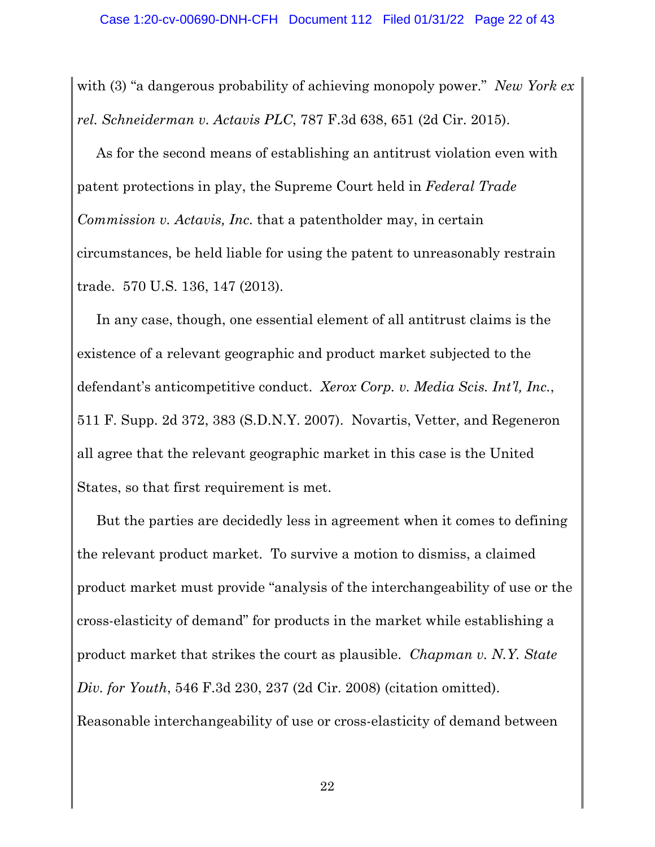with (3) "a dangerous probability of achieving monopoly power." *New York ex rel. Schneiderman v. Actavis PLC*, 787 F.3d 638, 651 (2d Cir. 2015).

As for the second means of establishing an antitrust violation even with patent protections in play, the Supreme Court held in *Federal Trade Commission v. Actavis, Inc.* that a patentholder may, in certain circumstances, be held liable for using the patent to unreasonably restrain trade. 570 U.S. 136, 147 (2013).

In any case, though, one essential element of all antitrust claims is the existence of a relevant geographic and product market subjected to the defendant's anticompetitive conduct. *Xerox Corp. v. Media Scis. Int'l, Inc.*, 511 F. Supp. 2d 372, 383 (S.D.N.Y. 2007). Novartis, Vetter, and Regeneron all agree that the relevant geographic market in this case is the United States, so that first requirement is met.

But the parties are decidedly less in agreement when it comes to defining the relevant product market. To survive a motion to dismiss, a claimed product market must provide "analysis of the interchangeability of use or the cross-elasticity of demand" for products in the market while establishing a product market that strikes the court as plausible. *Chapman v. N.Y. State Div. for Youth*, 546 F.3d 230, 237 (2d Cir. 2008) (citation omitted). Reasonable interchangeability of use or cross-elasticity of demand between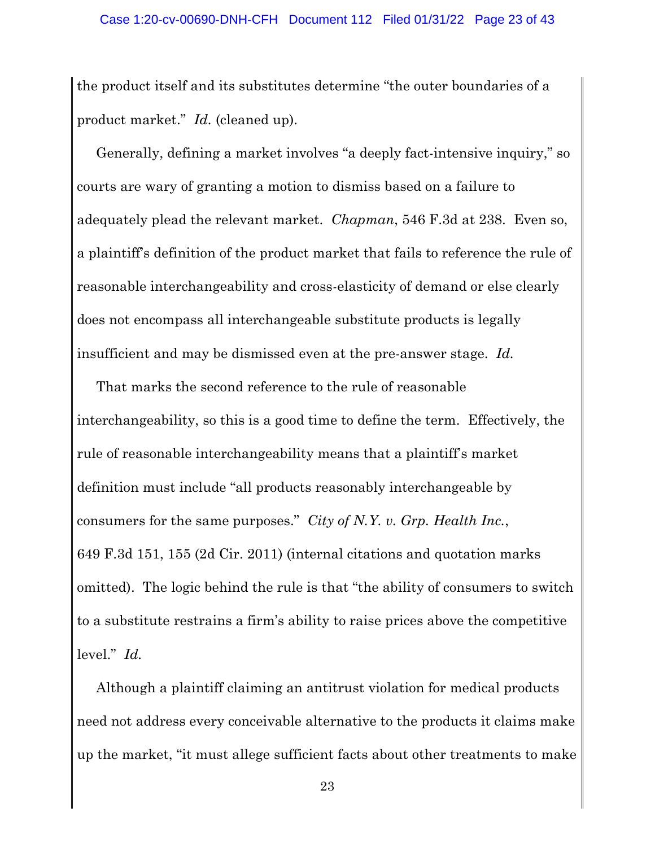the product itself and its substitutes determine "the outer boundaries of a product market." *Id.* (cleaned up).

Generally, defining a market involves "a deeply fact-intensive inquiry," so courts are wary of granting a motion to dismiss based on a failure to adequately plead the relevant market. *Chapman*, 546 F.3d at 238. Even so, a plaintiff's definition of the product market that fails to reference the rule of reasonable interchangeability and cross-elasticity of demand or else clearly does not encompass all interchangeable substitute products is legally insufficient and may be dismissed even at the pre-answer stage. *Id.*

That marks the second reference to the rule of reasonable interchangeability, so this is a good time to define the term. Effectively, the rule of reasonable interchangeability means that a plaintiff's market definition must include "all products reasonably interchangeable by consumers for the same purposes." *City of N.Y. v. Grp. Health Inc.*, 649 F.3d 151, 155 (2d Cir. 2011) (internal citations and quotation marks omitted). The logic behind the rule is that "the ability of consumers to switch to a substitute restrains a firm's ability to raise prices above the competitive level." *Id.*

Although a plaintiff claiming an antitrust violation for medical products need not address every conceivable alternative to the products it claims make up the market, "it must allege sufficient facts about other treatments to make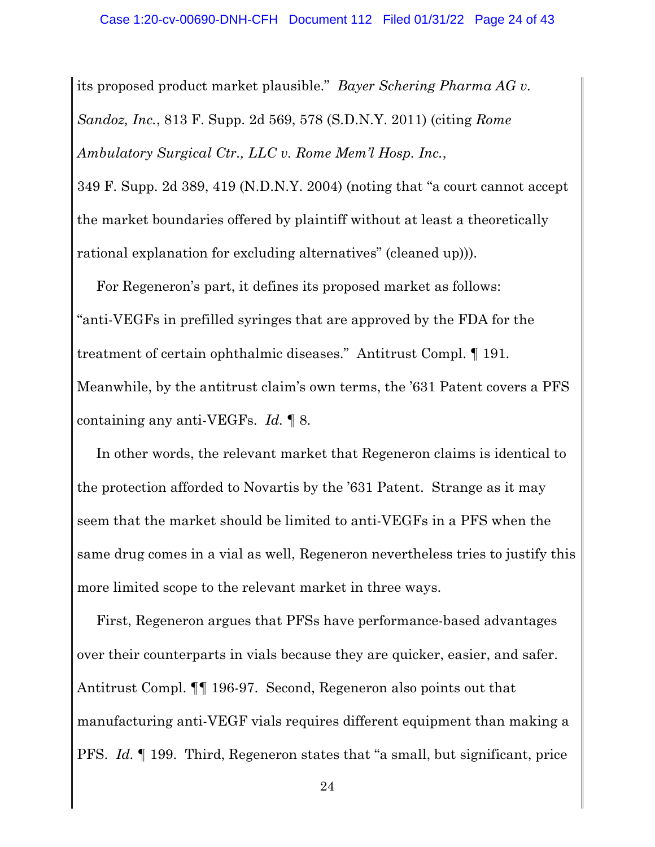its proposed product market plausible." *Bayer Schering Pharma AG v. Sandoz, Inc.*, 813 F. Supp. 2d 569, 578 (S.D.N.Y. 2011) (citing *Rome Ambulatory Surgical Ctr., LLC v. Rome Mem'l Hosp. Inc.*,

349 F. Supp. 2d 389, 419 (N.D.N.Y. 2004) (noting that "a court cannot accept the market boundaries offered by plaintiff without at least a theoretically rational explanation for excluding alternatives" (cleaned up))).

For Regeneron's part, it defines its proposed market as follows: "anti-VEGFs in prefilled syringes that are approved by the FDA for the treatment of certain ophthalmic diseases." Antitrust Compl. ¶ 191. Meanwhile, by the antitrust claim's own terms, the '631 Patent covers a PFS containing any anti-VEGFs. *Id.* ¶ 8.

In other words, the relevant market that Regeneron claims is identical to the protection afforded to Novartis by the '631 Patent. Strange as it may seem that the market should be limited to anti-VEGFs in a PFS when the same drug comes in a vial as well, Regeneron nevertheless tries to justify this more limited scope to the relevant market in three ways.

First, Regeneron argues that PFSs have performance-based advantages over their counterparts in vials because they are quicker, easier, and safer. Antitrust Compl. ¶¶ 196-97. Second, Regeneron also points out that manufacturing anti-VEGF vials requires different equipment than making a PFS. *Id.* ¶ 199. Third, Regeneron states that "a small, but significant, price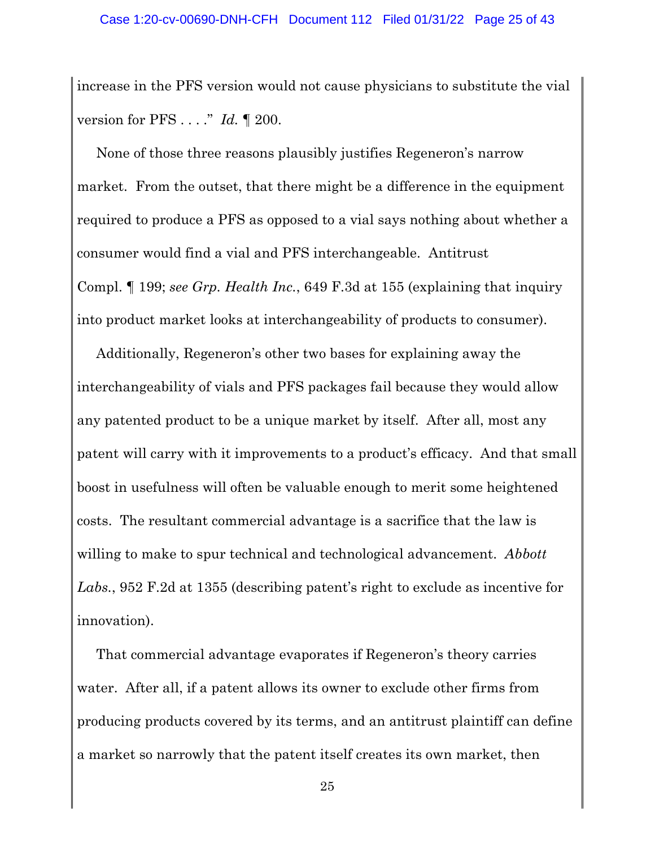increase in the PFS version would not cause physicians to substitute the vial version for PFS . . . ." *Id.* ¶ 200.

None of those three reasons plausibly justifies Regeneron's narrow market. From the outset, that there might be a difference in the equipment required to produce a PFS as opposed to a vial says nothing about whether a consumer would find a vial and PFS interchangeable. Antitrust Compl. ¶ 199; *see Grp. Health Inc.*, 649 F.3d at 155 (explaining that inquiry into product market looks at interchangeability of products to consumer).

Additionally, Regeneron's other two bases for explaining away the interchangeability of vials and PFS packages fail because they would allow any patented product to be a unique market by itself. After all, most any patent will carry with it improvements to a product's efficacy. And that small boost in usefulness will often be valuable enough to merit some heightened costs. The resultant commercial advantage is a sacrifice that the law is willing to make to spur technical and technological advancement. *Abbott Labs.*, 952 F.2d at 1355 (describing patent's right to exclude as incentive for innovation).

That commercial advantage evaporates if Regeneron's theory carries water. After all, if a patent allows its owner to exclude other firms from producing products covered by its terms, and an antitrust plaintiff can define a market so narrowly that the patent itself creates its own market, then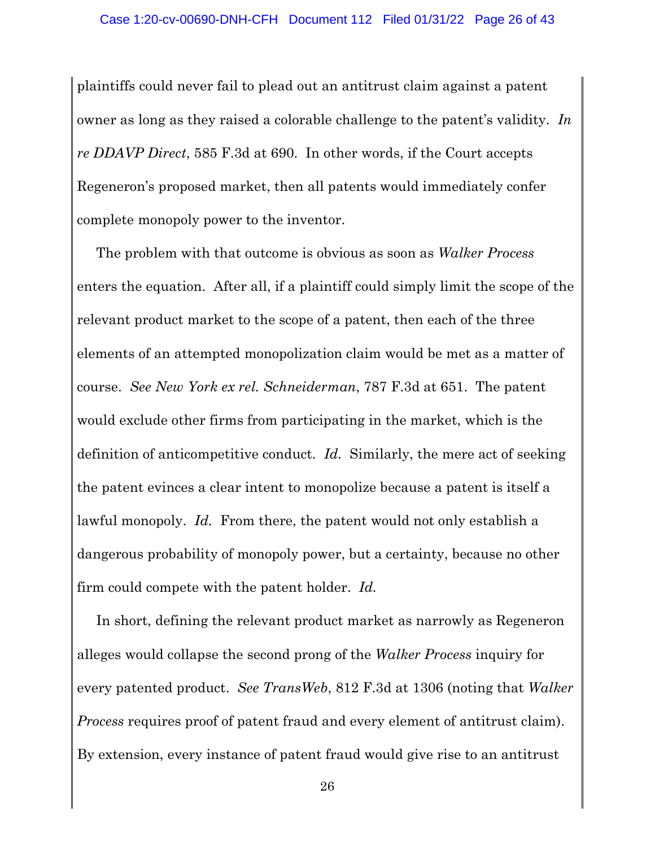plaintiffs could never fail to plead out an antitrust claim against a patent owner as long as they raised a colorable challenge to the patent's validity. *In re DDAVP Direct*, 585 F.3d at 690. In other words, if the Court accepts Regeneron's proposed market, then all patents would immediately confer complete monopoly power to the inventor.

The problem with that outcome is obvious as soon as *Walker Process*  enters the equation. After all, if a plaintiff could simply limit the scope of the relevant product market to the scope of a patent, then each of the three elements of an attempted monopolization claim would be met as a matter of course. *See New York ex rel. Schneiderman*, 787 F.3d at 651. The patent would exclude other firms from participating in the market, which is the definition of anticompetitive conduct. *Id.* Similarly, the mere act of seeking the patent evinces a clear intent to monopolize because a patent is itself a lawful monopoly. *Id.* From there, the patent would not only establish a dangerous probability of monopoly power, but a certainty, because no other firm could compete with the patent holder. *Id.*

In short, defining the relevant product market as narrowly as Regeneron alleges would collapse the second prong of the *Walker Process* inquiry for every patented product. *See TransWeb*, 812 F.3d at 1306 (noting that *Walker Process* requires proof of patent fraud and every element of antitrust claim). By extension, every instance of patent fraud would give rise to an antitrust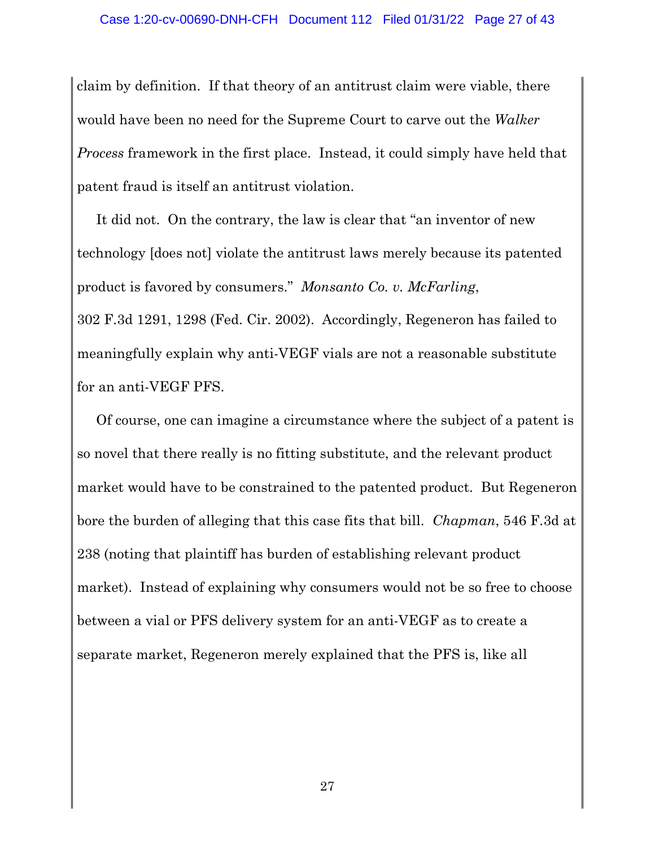claim by definition. If that theory of an antitrust claim were viable, there would have been no need for the Supreme Court to carve out the *Walker Process* framework in the first place. Instead, it could simply have held that patent fraud is itself an antitrust violation.

It did not. On the contrary, the law is clear that "an inventor of new technology [does not] violate the antitrust laws merely because its patented product is favored by consumers." *Monsanto Co. v. McFarling*, 302 F.3d 1291, 1298 (Fed. Cir. 2002). Accordingly, Regeneron has failed to meaningfully explain why anti-VEGF vials are not a reasonable substitute for an anti-VEGF PFS.

Of course, one can imagine a circumstance where the subject of a patent is so novel that there really is no fitting substitute, and the relevant product market would have to be constrained to the patented product. But Regeneron bore the burden of alleging that this case fits that bill. *Chapman*, 546 F.3d at 238 (noting that plaintiff has burden of establishing relevant product market). Instead of explaining why consumers would not be so free to choose between a vial or PFS delivery system for an anti-VEGF as to create a separate market, Regeneron merely explained that the PFS is, like all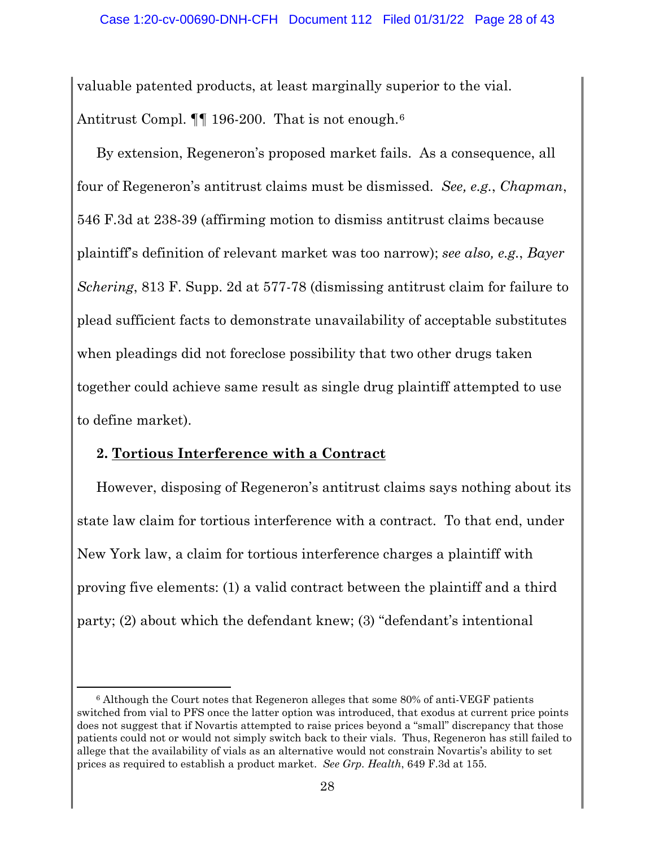valuable patented products, at least marginally superior to the vial. Antitrust Compl.  $\P$  196-200. That is not enough.<sup>6</sup>

By extension, Regeneron's proposed market fails. As a consequence, all four of Regeneron's antitrust claims must be dismissed. *See, e.g.*, *Chapman*, 546 F.3d at 238-39 (affirming motion to dismiss antitrust claims because plaintiff's definition of relevant market was too narrow); *see also, e.g.*, *Bayer Schering*, 813 F. Supp. 2d at 577-78 (dismissing antitrust claim for failure to plead sufficient facts to demonstrate unavailability of acceptable substitutes when pleadings did not foreclose possibility that two other drugs taken together could achieve same result as single drug plaintiff attempted to use to define market).

#### **2. Tortious Interference with a Contract**

However, disposing of Regeneron's antitrust claims says nothing about its state law claim for tortious interference with a contract. To that end, under New York law, a claim for tortious interference charges a plaintiff with proving five elements: (1) a valid contract between the plaintiff and a third party; (2) about which the defendant knew; (3) "defendant's intentional

<sup>6</sup> Although the Court notes that Regeneron alleges that some 80% of anti-VEGF patients switched from vial to PFS once the latter option was introduced, that exodus at current price points does not suggest that if Novartis attempted to raise prices beyond a "small" discrepancy that those patients could not or would not simply switch back to their vials. Thus, Regeneron has still failed to allege that the availability of vials as an alternative would not constrain Novartis's ability to set prices as required to establish a product market. *See Grp. Health*, 649 F.3d at 155.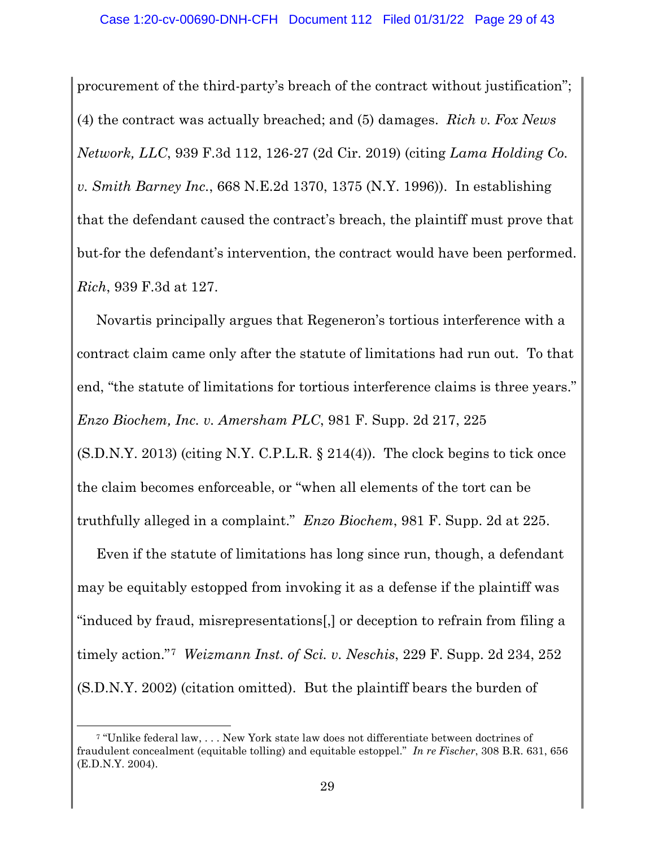procurement of the third-party's breach of the contract without justification"; (4) the contract was actually breached; and (5) damages. *Rich v. Fox News Network, LLC*, 939 F.3d 112, 126-27 (2d Cir. 2019) (citing *Lama Holding Co. v. Smith Barney Inc.*, 668 N.E.2d 1370, 1375 (N.Y. 1996)). In establishing that the defendant caused the contract's breach, the plaintiff must prove that but-for the defendant's intervention, the contract would have been performed. *Rich*, 939 F.3d at 127.

Novartis principally argues that Regeneron's tortious interference with a contract claim came only after the statute of limitations had run out. To that end, "the statute of limitations for tortious interference claims is three years." *Enzo Biochem, Inc. v. Amersham PLC*, 981 F. Supp. 2d 217, 225

 $(S.D.N.Y. 2013)$  (citing N.Y. C.P.L.R.  $\S 214(4)$ ). The clock begins to tick once the claim becomes enforceable, or "when all elements of the tort can be truthfully alleged in a complaint." *Enzo Biochem*, 981 F. Supp. 2d at 225.

Even if the statute of limitations has long since run, though, a defendant may be equitably estopped from invoking it as a defense if the plaintiff was "induced by fraud, misrepresentations[,] or deception to refrain from filing a timely action."7 *Weizmann Inst. of Sci. v. Neschis*, 229 F. Supp. 2d 234, 252 (S.D.N.Y. 2002) (citation omitted). But the plaintiff bears the burden of

<sup>7</sup> "Unlike federal law, . . . New York state law does not differentiate between doctrines of fraudulent concealment (equitable tolling) and equitable estoppel." *In re Fischer*, 308 B.R. 631, 656 (E.D.N.Y. 2004).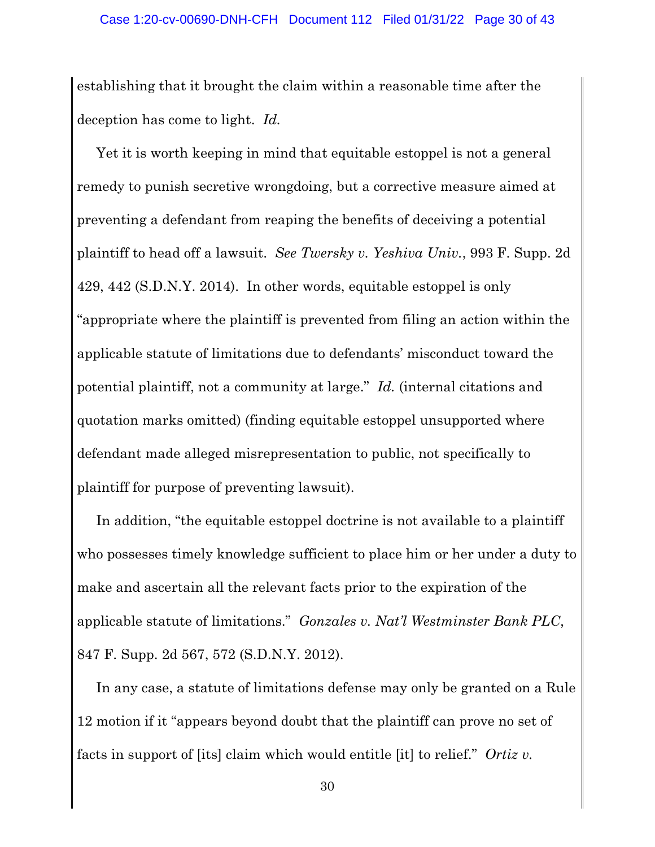establishing that it brought the claim within a reasonable time after the deception has come to light. *Id.*

Yet it is worth keeping in mind that equitable estoppel is not a general remedy to punish secretive wrongdoing, but a corrective measure aimed at preventing a defendant from reaping the benefits of deceiving a potential plaintiff to head off a lawsuit. *See Twersky v. Yeshiva Univ.*, 993 F. Supp. 2d 429, 442 (S.D.N.Y. 2014). In other words, equitable estoppel is only "appropriate where the plaintiff is prevented from filing an action within the applicable statute of limitations due to defendants' misconduct toward the potential plaintiff, not a community at large." *Id.* (internal citations and quotation marks omitted) (finding equitable estoppel unsupported where defendant made alleged misrepresentation to public, not specifically to plaintiff for purpose of preventing lawsuit).

In addition, "the equitable estoppel doctrine is not available to a plaintiff who possesses timely knowledge sufficient to place him or her under a duty to make and ascertain all the relevant facts prior to the expiration of the applicable statute of limitations." *Gonzales v. Nat'l Westminster Bank PLC*, 847 F. Supp. 2d 567, 572 (S.D.N.Y. 2012).

In any case, a statute of limitations defense may only be granted on a Rule 12 motion if it "appears beyond doubt that the plaintiff can prove no set of facts in support of [its] claim which would entitle [it] to relief." *Ortiz v.*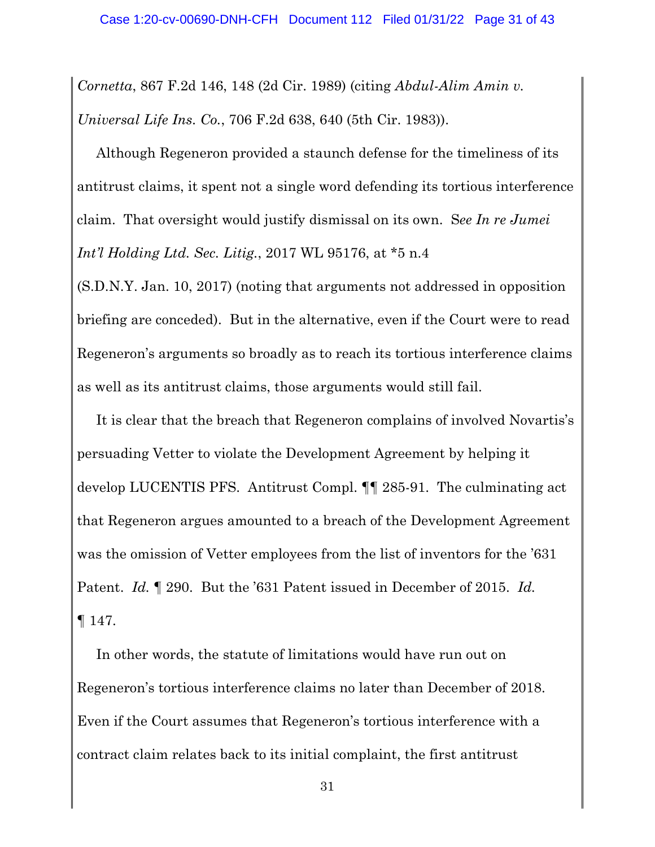*Cornetta*, 867 F.2d 146, 148 (2d Cir. 1989) (citing *Abdul-Alim Amin v. Universal Life Ins. Co.*, 706 F.2d 638, 640 (5th Cir. 1983)).

Although Regeneron provided a staunch defense for the timeliness of its antitrust claims, it spent not a single word defending its tortious interference claim. That oversight would justify dismissal on its own. S*ee In re Jumei Int'l Holding Ltd. Sec. Litig.*, 2017 WL 95176, at \*5 n.4

(S.D.N.Y. Jan. 10, 2017) (noting that arguments not addressed in opposition briefing are conceded). But in the alternative, even if the Court were to read Regeneron's arguments so broadly as to reach its tortious interference claims as well as its antitrust claims, those arguments would still fail.

It is clear that the breach that Regeneron complains of involved Novartis's persuading Vetter to violate the Development Agreement by helping it develop LUCENTIS PFS. Antitrust Compl. ¶¶ 285-91. The culminating act that Regeneron argues amounted to a breach of the Development Agreement was the omission of Vetter employees from the list of inventors for the '631 Patent. *Id.* ¶ 290. But the '631 Patent issued in December of 2015. *Id.* ¶ 147.

In other words, the statute of limitations would have run out on Regeneron's tortious interference claims no later than December of 2018. Even if the Court assumes that Regeneron's tortious interference with a contract claim relates back to its initial complaint, the first antitrust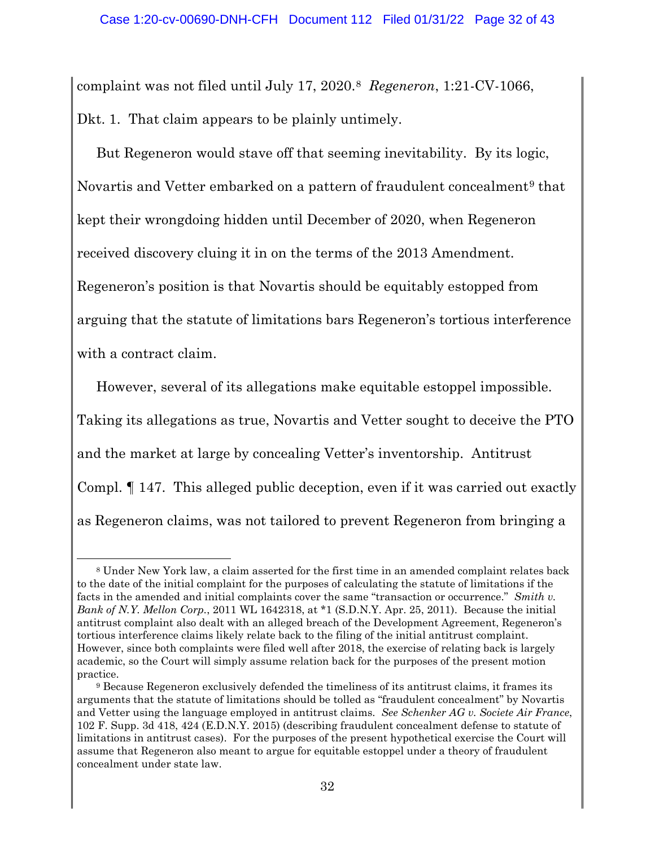complaint was not filed until July 17, 2020.8 *Regeneron*, 1:21-CV-1066, Dkt. 1. That claim appears to be plainly untimely.

But Regeneron would stave off that seeming inevitability. By its logic, Novartis and Vetter embarked on a pattern of fraudulent concealment<sup>9</sup> that kept their wrongdoing hidden until December of 2020, when Regeneron received discovery cluing it in on the terms of the 2013 Amendment. Regeneron's position is that Novartis should be equitably estopped from arguing that the statute of limitations bars Regeneron's tortious interference with a contract claim.

However, several of its allegations make equitable estoppel impossible. Taking its allegations as true, Novartis and Vetter sought to deceive the PTO and the market at large by concealing Vetter's inventorship. Antitrust Compl. ¶ 147. This alleged public deception, even if it was carried out exactly as Regeneron claims, was not tailored to prevent Regeneron from bringing a

<sup>8</sup> Under New York law, a claim asserted for the first time in an amended complaint relates back to the date of the initial complaint for the purposes of calculating the statute of limitations if the facts in the amended and initial complaints cover the same "transaction or occurrence." *Smith v. Bank of N.Y. Mellon Corp.*, 2011 WL 1642318, at \*1 (S.D.N.Y. Apr. 25, 2011). Because the initial antitrust complaint also dealt with an alleged breach of the Development Agreement, Regeneron's tortious interference claims likely relate back to the filing of the initial antitrust complaint. However, since both complaints were filed well after 2018, the exercise of relating back is largely academic, so the Court will simply assume relation back for the purposes of the present motion practice.

<sup>9</sup> Because Regeneron exclusively defended the timeliness of its antitrust claims, it frames its arguments that the statute of limitations should be tolled as "fraudulent concealment" by Novartis and Vetter using the language employed in antitrust claims. *See Schenker AG v. Societe Air France*, 102 F. Supp. 3d 418, 424 (E.D.N.Y. 2015) (describing fraudulent concealment defense to statute of limitations in antitrust cases). For the purposes of the present hypothetical exercise the Court will assume that Regeneron also meant to argue for equitable estoppel under a theory of fraudulent concealment under state law.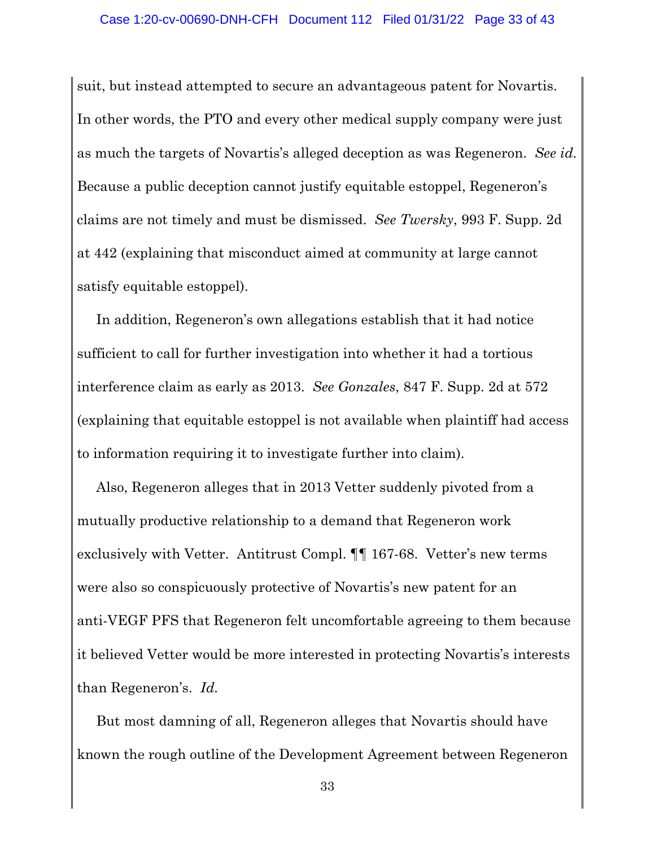suit, but instead attempted to secure an advantageous patent for Novartis. In other words, the PTO and every other medical supply company were just as much the targets of Novartis's alleged deception as was Regeneron. *See id.*  Because a public deception cannot justify equitable estoppel, Regeneron's claims are not timely and must be dismissed. *See Twersky*, 993 F. Supp. 2d at 442 (explaining that misconduct aimed at community at large cannot satisfy equitable estoppel).

In addition, Regeneron's own allegations establish that it had notice sufficient to call for further investigation into whether it had a tortious interference claim as early as 2013. *See Gonzales*, 847 F. Supp. 2d at 572 (explaining that equitable estoppel is not available when plaintiff had access to information requiring it to investigate further into claim).

Also, Regeneron alleges that in 2013 Vetter suddenly pivoted from a mutually productive relationship to a demand that Regeneron work exclusively with Vetter. Antitrust Compl. ¶¶ 167-68. Vetter's new terms were also so conspicuously protective of Novartis's new patent for an anti-VEGF PFS that Regeneron felt uncomfortable agreeing to them because it believed Vetter would be more interested in protecting Novartis's interests than Regeneron's. *Id.*

But most damning of all, Regeneron alleges that Novartis should have known the rough outline of the Development Agreement between Regeneron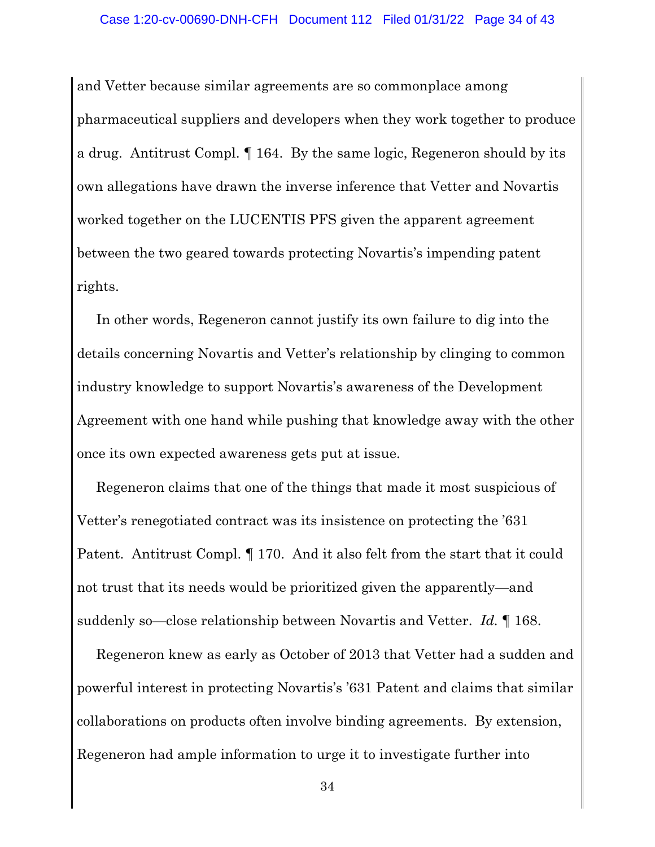and Vetter because similar agreements are so commonplace among pharmaceutical suppliers and developers when they work together to produce a drug. Antitrust Compl. ¶ 164. By the same logic, Regeneron should by its own allegations have drawn the inverse inference that Vetter and Novartis worked together on the LUCENTIS PFS given the apparent agreement between the two geared towards protecting Novartis's impending patent rights.

In other words, Regeneron cannot justify its own failure to dig into the details concerning Novartis and Vetter's relationship by clinging to common industry knowledge to support Novartis's awareness of the Development Agreement with one hand while pushing that knowledge away with the other once its own expected awareness gets put at issue.

Regeneron claims that one of the things that made it most suspicious of Vetter's renegotiated contract was its insistence on protecting the '631 Patent. Antitrust Compl. ¶ 170. And it also felt from the start that it could not trust that its needs would be prioritized given the apparently—and suddenly so—close relationship between Novartis and Vetter. *Id.* ¶ 168.

Regeneron knew as early as October of 2013 that Vetter had a sudden and powerful interest in protecting Novartis's '631 Patent and claims that similar collaborations on products often involve binding agreements. By extension, Regeneron had ample information to urge it to investigate further into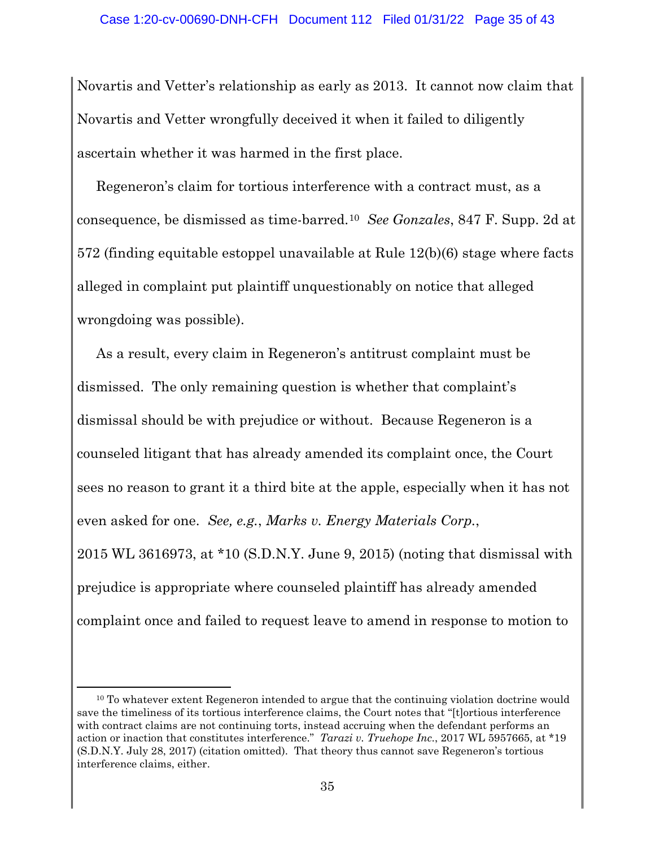Novartis and Vetter's relationship as early as 2013. It cannot now claim that Novartis and Vetter wrongfully deceived it when it failed to diligently ascertain whether it was harmed in the first place.

Regeneron's claim for tortious interference with a contract must, as a consequence, be dismissed as time-barred.10 *See Gonzales*, 847 F. Supp. 2d at 572 (finding equitable estoppel unavailable at Rule 12(b)(6) stage where facts alleged in complaint put plaintiff unquestionably on notice that alleged wrongdoing was possible).

As a result, every claim in Regeneron's antitrust complaint must be dismissed. The only remaining question is whether that complaint's dismissal should be with prejudice or without. Because Regeneron is a counseled litigant that has already amended its complaint once, the Court sees no reason to grant it a third bite at the apple, especially when it has not even asked for one. *See, e.g.*, *Marks v. Energy Materials Corp.*, 2015 WL 3616973, at \*10 (S.D.N.Y. June 9, 2015) (noting that dismissal with prejudice is appropriate where counseled plaintiff has already amended

complaint once and failed to request leave to amend in response to motion to

 $10$  To whatever extent Regeneron intended to argue that the continuing violation doctrine would save the timeliness of its tortious interference claims, the Court notes that "[t]ortious interference with contract claims are not continuing torts, instead accruing when the defendant performs an action or inaction that constitutes interference." *Tarazi v. Truehope Inc.*, 2017 WL 5957665, at \*19 (S.D.N.Y. July 28, 2017) (citation omitted). That theory thus cannot save Regeneron's tortious interference claims, either.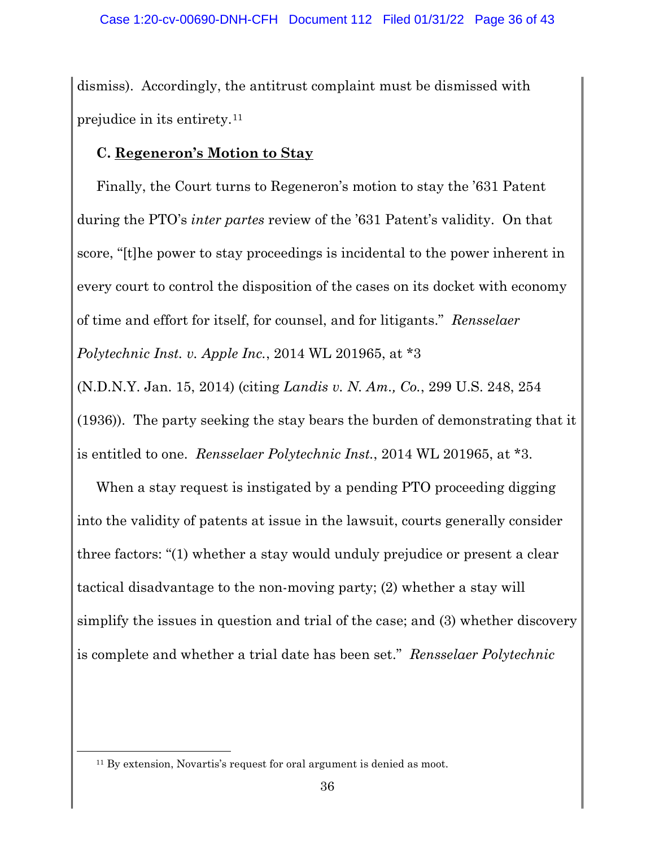dismiss). Accordingly, the antitrust complaint must be dismissed with prejudice in its entirety.11

#### **C. Regeneron's Motion to Stay**

Finally, the Court turns to Regeneron's motion to stay the '631 Patent during the PTO's *inter partes* review of the '631 Patent's validity. On that score, "[t]he power to stay proceedings is incidental to the power inherent in every court to control the disposition of the cases on its docket with economy of time and effort for itself, for counsel, and for litigants." *Rensselaer Polytechnic Inst. v. Apple Inc.*, 2014 WL 201965, at \*3

(N.D.N.Y. Jan. 15, 2014) (citing *Landis v. N. Am., Co.*, 299 U.S. 248, 254

(1936)). The party seeking the stay bears the burden of demonstrating that it is entitled to one. *Rensselaer Polytechnic Inst.*, 2014 WL 201965, at \*3.

When a stay request is instigated by a pending PTO proceeding digging into the validity of patents at issue in the lawsuit, courts generally consider three factors: "(1) whether a stay would unduly prejudice or present a clear tactical disadvantage to the non-moving party; (2) whether a stay will simplify the issues in question and trial of the case; and (3) whether discovery is complete and whether a trial date has been set." *Rensselaer Polytechnic* 

<sup>11</sup> By extension, Novartis's request for oral argument is denied as moot.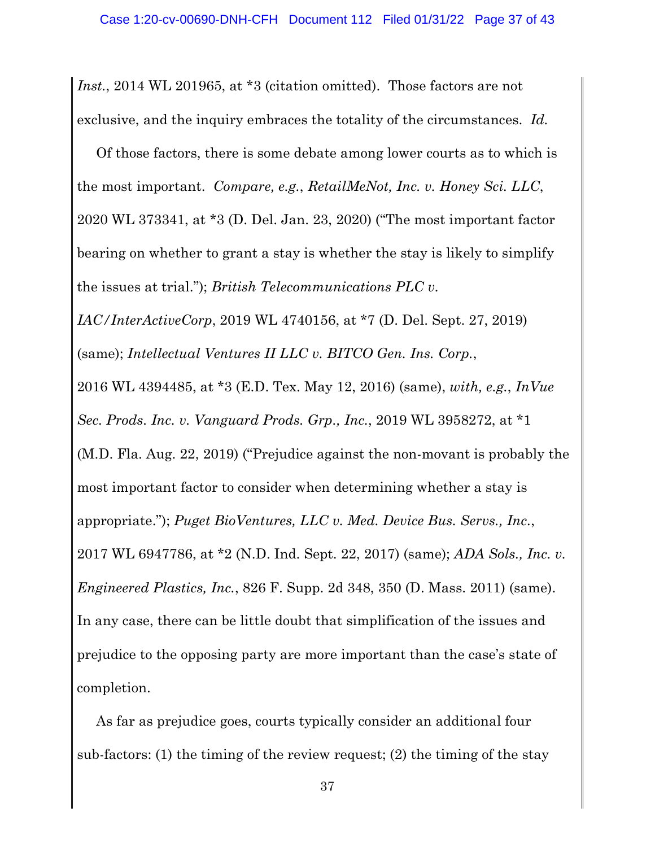*Inst.*, 2014 WL 201965, at \*3 (citation omitted). Those factors are not exclusive, and the inquiry embraces the totality of the circumstances. *Id.*

Of those factors, there is some debate among lower courts as to which is the most important. *Compare, e.g.*, *RetailMeNot, Inc. v. Honey Sci. LLC*, 2020 WL 373341, at \*3 (D. Del. Jan. 23, 2020) ("The most important factor bearing on whether to grant a stay is whether the stay is likely to simplify the issues at trial."); *British Telecommunications PLC v.* 

*IAC/InterActiveCorp*, 2019 WL 4740156, at \*7 (D. Del. Sept. 27, 2019)

(same); *Intellectual Ventures II LLC v. BITCO Gen. Ins. Corp.*,

2016 WL 4394485, at \*3 (E.D. Tex. May 12, 2016) (same), *with, e.g.*, *InVue* 

*Sec. Prods. Inc. v. Vanguard Prods. Grp., Inc.*, 2019 WL 3958272, at \*1

(M.D. Fla. Aug. 22, 2019) ("Prejudice against the non-movant is probably the most important factor to consider when determining whether a stay is appropriate."); *Puget BioVentures, LLC v. Med. Device Bus. Servs., Inc.*,

2017 WL 6947786, at \*2 (N.D. Ind. Sept. 22, 2017) (same); *ADA Sols., Inc. v. Engineered Plastics, Inc.*, 826 F. Supp. 2d 348, 350 (D. Mass. 2011) (same). In any case, there can be little doubt that simplification of the issues and prejudice to the opposing party are more important than the case's state of completion.

As far as prejudice goes, courts typically consider an additional four sub-factors: (1) the timing of the review request; (2) the timing of the stay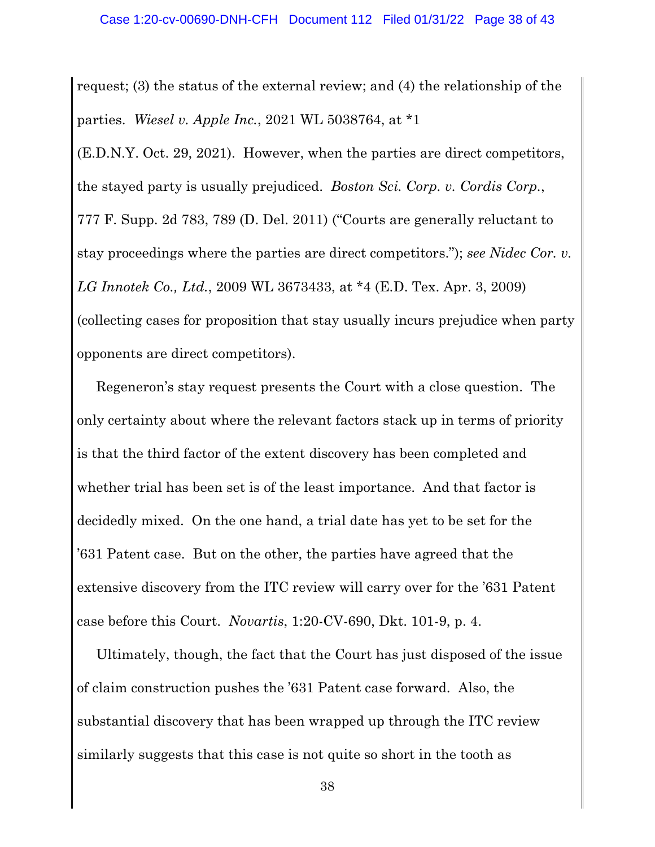request; (3) the status of the external review; and (4) the relationship of the parties. *Wiesel v. Apple Inc.*, 2021 WL 5038764, at \*1

(E.D.N.Y. Oct. 29, 2021). However, when the parties are direct competitors, the stayed party is usually prejudiced. *Boston Sci. Corp. v. Cordis Corp.*, 777 F. Supp. 2d 783, 789 (D. Del. 2011) ("Courts are generally reluctant to stay proceedings where the parties are direct competitors."); *see Nidec Cor. v. LG Innotek Co., Ltd.*, 2009 WL 3673433, at \*4 (E.D. Tex. Apr. 3, 2009) (collecting cases for proposition that stay usually incurs prejudice when party opponents are direct competitors).

Regeneron's stay request presents the Court with a close question. The only certainty about where the relevant factors stack up in terms of priority is that the third factor of the extent discovery has been completed and whether trial has been set is of the least importance. And that factor is decidedly mixed. On the one hand, a trial date has yet to be set for the '631 Patent case. But on the other, the parties have agreed that the extensive discovery from the ITC review will carry over for the '631 Patent case before this Court. *Novartis*, 1:20-CV-690, Dkt. 101-9, p. 4.

Ultimately, though, the fact that the Court has just disposed of the issue of claim construction pushes the '631 Patent case forward. Also, the substantial discovery that has been wrapped up through the ITC review similarly suggests that this case is not quite so short in the tooth as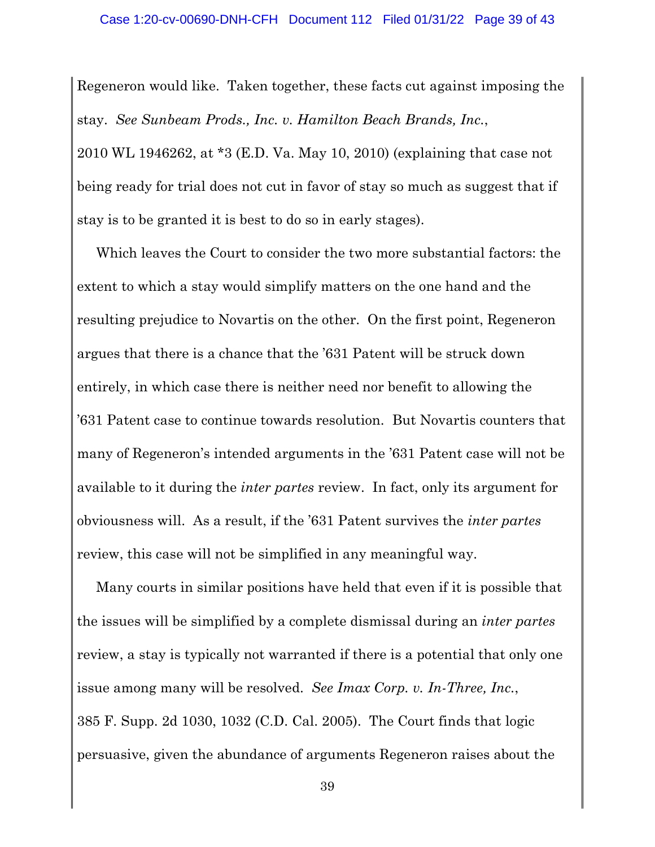Regeneron would like. Taken together, these facts cut against imposing the stay. *See Sunbeam Prods., Inc. v. Hamilton Beach Brands, Inc.*, 2010 WL 1946262, at \*3 (E.D. Va. May 10, 2010) (explaining that case not being ready for trial does not cut in favor of stay so much as suggest that if stay is to be granted it is best to do so in early stages).

Which leaves the Court to consider the two more substantial factors: the extent to which a stay would simplify matters on the one hand and the resulting prejudice to Novartis on the other. On the first point, Regeneron argues that there is a chance that the '631 Patent will be struck down entirely, in which case there is neither need nor benefit to allowing the '631 Patent case to continue towards resolution. But Novartis counters that many of Regeneron's intended arguments in the '631 Patent case will not be available to it during the *inter partes* review. In fact, only its argument for obviousness will. As a result, if the '631 Patent survives the *inter partes*  review, this case will not be simplified in any meaningful way.

Many courts in similar positions have held that even if it is possible that the issues will be simplified by a complete dismissal during an *inter partes*  review, a stay is typically not warranted if there is a potential that only one issue among many will be resolved. *See Imax Corp. v. In-Three, Inc.*, 385 F. Supp. 2d 1030, 1032 (C.D. Cal. 2005). The Court finds that logic persuasive, given the abundance of arguments Regeneron raises about the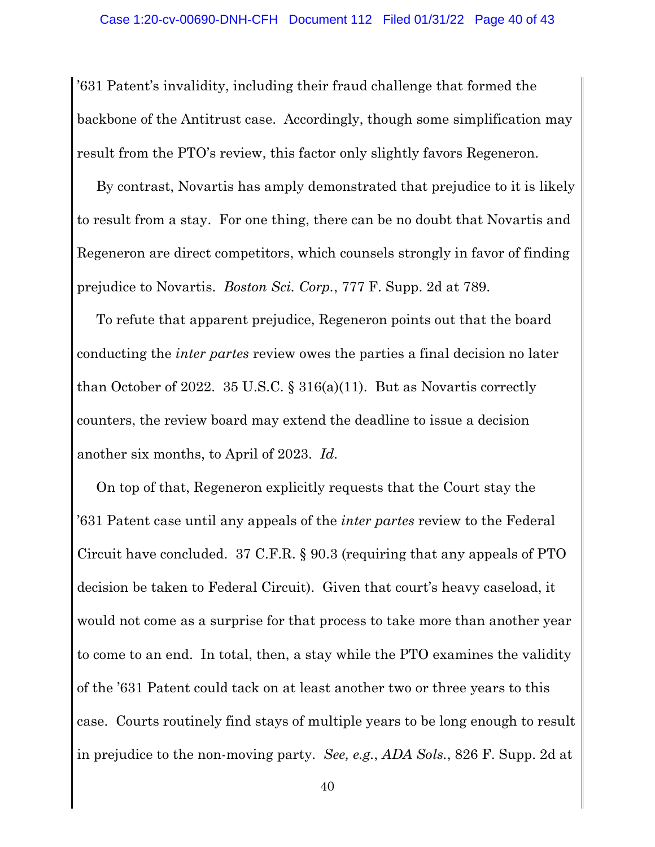'631 Patent's invalidity, including their fraud challenge that formed the backbone of the Antitrust case. Accordingly, though some simplification may result from the PTO's review, this factor only slightly favors Regeneron.

By contrast, Novartis has amply demonstrated that prejudice to it is likely to result from a stay. For one thing, there can be no doubt that Novartis and Regeneron are direct competitors, which counsels strongly in favor of finding prejudice to Novartis. *Boston Sci. Corp.*, 777 F. Supp. 2d at 789.

To refute that apparent prejudice, Regeneron points out that the board conducting the *inter partes* review owes the parties a final decision no later than October of 2022. 35 U.S.C. § 316(a)(11). But as Novartis correctly counters, the review board may extend the deadline to issue a decision another six months, to April of 2023. *Id.*

On top of that, Regeneron explicitly requests that the Court stay the '631 Patent case until any appeals of the *inter partes* review to the Federal Circuit have concluded. 37 C.F.R. § 90.3 (requiring that any appeals of PTO decision be taken to Federal Circuit). Given that court's heavy caseload, it would not come as a surprise for that process to take more than another year to come to an end. In total, then, a stay while the PTO examines the validity of the '631 Patent could tack on at least another two or three years to this case. Courts routinely find stays of multiple years to be long enough to result in prejudice to the non-moving party. *See, e.g.*, *ADA Sols.*, 826 F. Supp. 2d at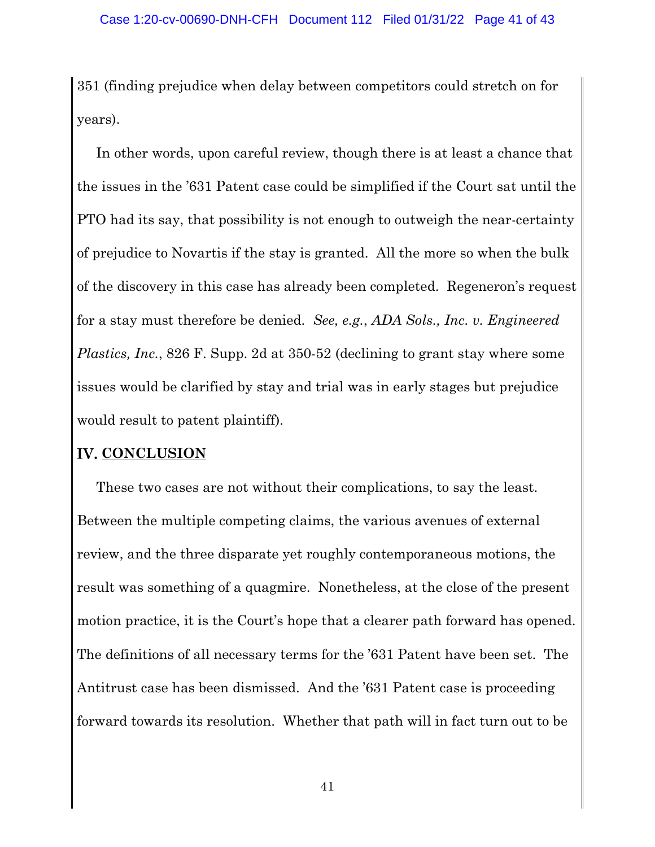351 (finding prejudice when delay between competitors could stretch on for years).

In other words, upon careful review, though there is at least a chance that the issues in the '631 Patent case could be simplified if the Court sat until the PTO had its say, that possibility is not enough to outweigh the near-certainty of prejudice to Novartis if the stay is granted. All the more so when the bulk of the discovery in this case has already been completed. Regeneron's request for a stay must therefore be denied. *See, e.g.*, *ADA Sols., Inc. v. Engineered Plastics, Inc.*, 826 F. Supp. 2d at 350-52 (declining to grant stay where some issues would be clarified by stay and trial was in early stages but prejudice would result to patent plaintiff).

### **IV. CONCLUSION**

These two cases are not without their complications, to say the least. Between the multiple competing claims, the various avenues of external review, and the three disparate yet roughly contemporaneous motions, the result was something of a quagmire. Nonetheless, at the close of the present motion practice, it is the Court's hope that a clearer path forward has opened. The definitions of all necessary terms for the '631 Patent have been set. The Antitrust case has been dismissed. And the '631 Patent case is proceeding forward towards its resolution. Whether that path will in fact turn out to be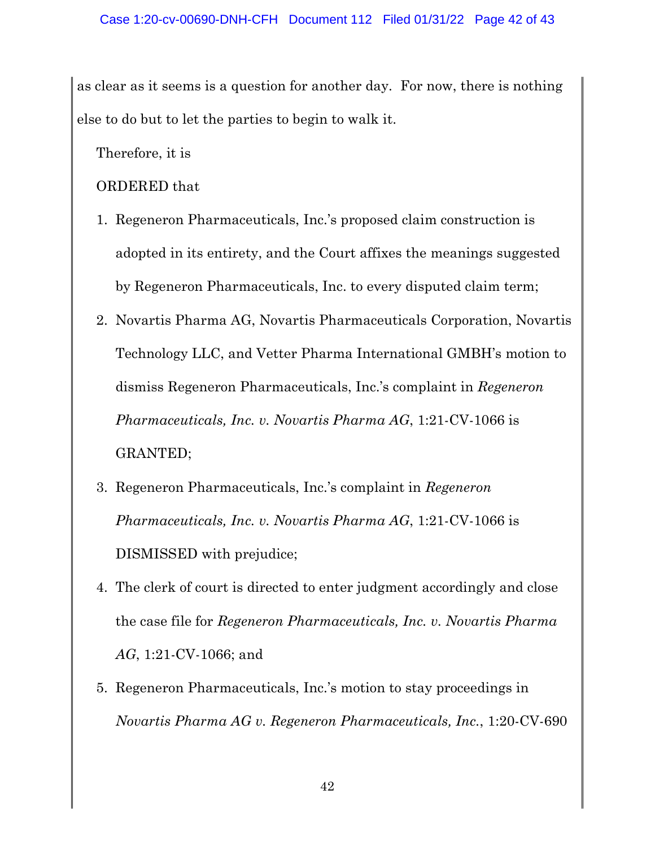as clear as it seems is a question for another day. For now, there is nothing else to do but to let the parties to begin to walk it.

Therefore, it is

ORDERED that

- 1. Regeneron Pharmaceuticals, Inc.'s proposed claim construction is adopted in its entirety, and the Court affixes the meanings suggested by Regeneron Pharmaceuticals, Inc. to every disputed claim term;
- 2. Novartis Pharma AG, Novartis Pharmaceuticals Corporation, Novartis Technology LLC, and Vetter Pharma International GMBH's motion to dismiss Regeneron Pharmaceuticals, Inc.'s complaint in *Regeneron Pharmaceuticals, Inc. v. Novartis Pharma AG*, 1:21-CV-1066 is GRANTED;
- 3. Regeneron Pharmaceuticals, Inc.'s complaint in *Regeneron Pharmaceuticals, Inc. v. Novartis Pharma AG*, 1:21-CV-1066 is DISMISSED with prejudice;
- 4. The clerk of court is directed to enter judgment accordingly and close the case file for *Regeneron Pharmaceuticals, Inc. v. Novartis Pharma AG*, 1:21-CV-1066; and
- 5. Regeneron Pharmaceuticals, Inc.'s motion to stay proceedings in *Novartis Pharma AG v. Regeneron Pharmaceuticals, Inc.*, 1:20-CV-690